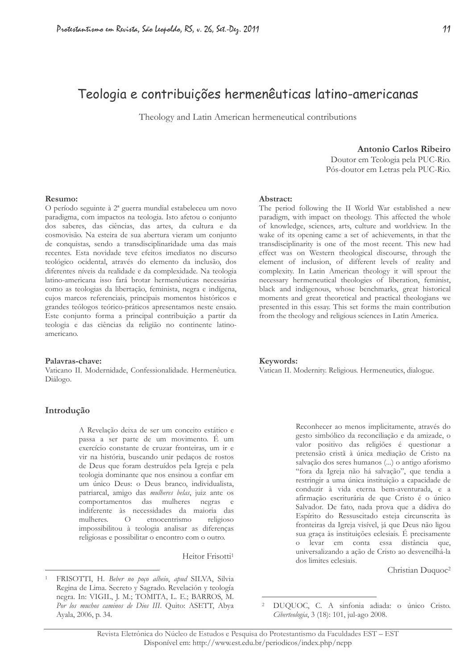# Teologia e contribuições hermenêuticas latino-americanas

Theology and Latin American hermeneutical contributions

Antonio Carlos Ribeiro

Doutor em Teologia pela PUC-Rio. Pós-doutor em Letras pela PUC-Rio.

#### Resumo:

O período seguinte à 2<sup>ª</sup> guerra mundial estabeleceu um novo paradigma, com impactos na teologia. Isto afetou o conjunto dos saberes, das ciências, das artes, da cultura e da cosmovisão. Na esteira de sua abertura vieram um conjunto de conquistas, sendo a transdisciplinaridade uma das mais recentes. Esta novidade teve efeitos imediatos no discurso teológico ocidental, através do elemento da inclusão, dos diferentes níveis da realidade e da complexidade. Na teologia latino-americana isso fará brotar hermenêuticas necessárias como as teologias da libertação, feminista, negra e indígena, cujos marcos referenciais, principais momentos históricos e grandes teólogos teórico-práticos apresentamos neste ensaio. Este conjunto forma a principal contribuição a partir da teologia e das ciências da religião no continente latinoamericano.

#### Palayras-chave:

Vaticano II. Modernidade, Confessionalidade. Hermenêutica. Diálogo.

#### Introdução

A Revelação deixa de ser um conceito estático e passa a ser parte de um movimento. É um exercício constante de cruzar fronteiras, um ir e vir na história, buscando unir pedaços de rostos de Deus que foram destruídos pela Igreja e pela teologia dominante que nos ensinou a confiar em um único Deus: o Deus branco, individualista, patriarcal, amigo das mulheres belas, juiz ante os comportamentos das mulheres negras e indiferente às necessidades da maioria das mulheres. etnocentrismo  $\Omega$ religioso impossibilitou à teologia analisar as diferenças religiosas e possibilitar o encontro com o outro.

Heitor Frisotti<sup>1</sup>

#### Abstract:

The period following the II World War established a new paradigm, with impact on theology. This affected the whole of knowledge, sciences, arts, culture and worldview. In the wake of its opening came a set of achievements, in that the transdisciplinarity is one of the most recent. This new had effect was on Western theological discourse, through the element of inclusion, of different levels of reality and complexity. In Latin American theology it will sprout the necessary hermeneutical theologies of liberation, feminist, black and indigenous, whose benchmarks, great historical moments and great theoretical and practical theologians we presented in this essay. This set forms the main contribution from the theology and religious sciences in Latin America.

#### Keywords:

Vatican II. Modernity. Religious. Hermeneutics, dialogue.

Reconhecer ao menos implicitamente, através do gesto simbólico da reconciliação e da amizade, o valor positivo das religiões é questionar a pretensão cristã à única mediação de Cristo na salvação dos seres humanos (...) o antigo aforismo "fora da Igreja não há salvação", que tendia a restringir a uma única instituição a capacidade de conduzir à vida eterna bem-aventurada, e a afirmação escriturária de que Cristo é o único Salvador. De fato, nada prova que a dádiva do Espírito do Ressuscitado esteja circunscrita às fronteiras da Igreja visível, já que Deus não ligou sua graça às instituições eclesiais. É precisamente o levar em conta essa distância que, universalizando a ação de Cristo ao desvencilhá-la dos limites eclesiais.

Christian Duquoc<sup>2</sup>

FRISOTTI, H. Beber no poço alheio, apud SILVA, Silvia Regina de Lima. Secreto y Sagrado. Revelación y teología negra. In: VIGIL, J. M.; TOMITA, L. E.; BARROS, M. Por los muchos caminos de Dios III. Quito: ASETT, Abya Ayala, 2006, p. 34.

 $\overline{c}$ DUQUOC, C. A sinfonia adiada: o único Cristo. Ciberteologia, 3 (18): 101, jul-ago 2008.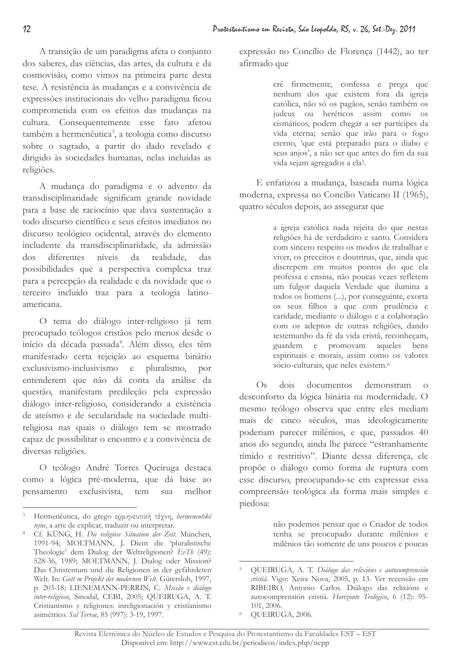A transição de um paradigma afeta o conjunto dos saberes, das ciências, das artes, da cultura e da cosmovisão, como vimos na primeira parte desta tese. A resistência às mudanças e a convivência de expressões institucionais do velho paradigma ficou comprometida com os efeitos das mudanças na cultura. Consequentemente esse fato afetou também a hermenêutica<sup>3</sup>, a teologia como discurso sobre o sagrado, a partir do dado revelado e dirigido às sociedades humanas, nelas incluídas as religiões.

A mudança do paradigma e o advento da transdisciplinaridade significam grande novidade para a base de raciocínio que dava sustentação a todo discurso científico e seus efeitos imediatos no discurso teológico ocidental, através do elemento includente da transdisciplinaridade, da admissão diferentes níveis da realidade, das dos possibilidades que a perspectiva complexa traz para a percepção da realidade e da novidade que o terceiro incluído traz para a teologia latinoamericana

O tema do diálogo inter-religioso já tem preocupado teólogos cristãos pelo menos desde o início da década passada<sup>4</sup>. Além disso, eles têm manifestado certa rejeição ao esquema binário exclusivismo-inclusivismo e pluralismo, por entenderem que não dá conta da análise da questão, manifestam predileção pela expressão diálogo inter-religioso, considerando a existência de ateísmo e de secularidade na sociedade multireligiosa nas quais o diálogo tem se mostrado capaz de possibilitar o encontro e a convivência de diversas religiões.

O teólogo André Torres Queiruga destaca como a lógica pré-moderna, que dá base ao pensamento exclusivista, tem sua melhor

expressão no Concílio de Florença (1442), ao ter afirmado que

> crê firmemente, confessa e prega que nenhum dos que existem fora da igreja católica, não só os pagãos, senão também os judeus ou heréticos assim como os cismáticos, podem chegar a ser partícipes da vida eterna; senão que irão para o fogo eterno, 'que está preparado para o diabo e seus anjos', a não ser que antes do fim da sua vida sejam agregados a ela<sup>5</sup>.

E enfatizou a mudança, baseada numa lógica moderna, expressa no Concílio Vaticano II (1965), quatro séculos depois, ao assegurar que

> a igreja católica nada rejeita do que nestas religiões há de verdadeiro e santo. Considera com sincero respeito os modos de trabalhar e viver, os preceitos e doutrinas, que, ainda que discrepem em muitos pontos do que ela professa e ensina, não poucas vezes refletem um fulgor daquela Verdade que ilumina a todos os homens (...), por conseguinte, exorta os seus filhos a que com prudência e caridade, mediante o diálogo e a colaboração com os adeptos de outras religiões, dando testemunho da fé da vida cristã, reconheçam, guardem e promovam aqueles bens espirituais e morais, assim como os valores sócio-culturais, que neles existem.<sup>6</sup>

 $Os$  dois documentos demonstram  $\overline{O}$ desconforto da lógica binária na modernidade. O mesmo teólogo observa que entre eles mediam mais de cinco séculos, mas ideologicamente poderiam parecer milênios, e que, passados 40 anos do segundo, ainda lhe parece "estranhamente tímido e restritivo". Diante dessa diferença, ele propõe o diálogo como forma de ruptura com esse discurso, preocupando-se em expressar essa compreensão teológica da forma mais simples e piedosa:

> não podemos pensar que o Criador de todos tenha se preocupado durante milênios e milênios tão somente de uns poucos e poucas

Hermenêutica, do grego ερμηνευτική τέχνη, hermeneutiké tejne, a arte de explicar, traduzir ou interpretar.

<sup>&</sup>lt;sup>4</sup> Cf. KÜNG, H. Die religiöse Situation der Zeit. München, 1991-94; MOLTMANN, J. Dient die 'pluralistische Theologie' dem Dialog der Weltreligionen?  $EvTh$  (49): 528-36, 1989; MOLTMANN, J. Dialog oder Mission? Das Christentum und die Religionen in der gefährdeten Welt. In: Gott m Projekt der modernen Welt. Gütersloh, 1997, p. 203-18; LIENEMANN-PERRIN, C. Missão e diálogo inter-religioso, Sinodal, CEBI, 2005; QUEIRUGA, A. T. Cristianismo y religiones: inreligionación y cristianismo asimétrico. Sal Terrae, 85 (997): 3-19, 1997.

QUEIRUGA, A. T. Diálogo das relixións e autocomprensión cristiá. Vigo: Xeira Nova, 2005, p. 13. Ver recensão em RIBEIRO, Antonio Carlos. Diálogo das relixións e autocomprensión cristiá. Horizonte Teológico, 6 (12): 95-101, 2006.

QUEIRUGA, 2006.  $\epsilon$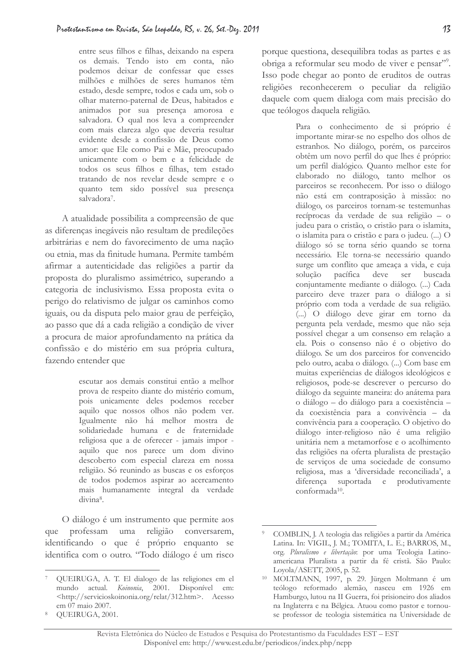entre seus filhos e filhas, deixando na espera os demais. Tendo isto em conta, não podemos deixar de confessar que esses milhões e milhões de seres humanos têm estado, desde sempre, todos e cada um, sob o olhar materno-paternal de Deus, habitados e animados por sua presença amorosa e salvadora. O qual nos leva a compreender com mais clareza algo que deveria resultar evidente desde a confissão de Deus como amor: que Ele como Pai e Mãe, preocupado unicamente com o bem e a felicidade de todos os seus filhos e filhas, tem estado tratando de nos revelar desde sempre e o quanto tem sido possível sua presença salvadora<sup>7</sup>.

A atualidade possibilita a compreensão de que as diferenças inegáveis não resultam de predileções arbitrárias e nem do favorecimento de uma nacão ou etnia, mas da finitude humana. Permite também afirmar a autenticidade das religiões a partir da proposta do pluralismo assimétrico, superando a categoria de inclusivismo. Essa proposta evita o perigo do relativismo de julgar os caminhos como iguais, ou da disputa pelo maior grau de perfeição, ao passo que dá a cada religião a condição de viver a procura de maior aprofundamento na prática da confissão e do mistério em sua própria cultura, fazendo entender que

> escutar aos demais constitui então a melhor prova de respeito diante do mistério comum, pois unicamente deles podemos receber aquilo que nossos olhos não podem ver. Igualmente não há melhor mostra de solidariedade humana e de fraternidade religiosa que a de oferecer - jamais impor aquilo que nos parece um dom divino descoberto com especial clareza em nossa religião. Só reunindo as buscas e os esforços de todos podemos aspirar ao acercamento mais humanamente integral da verdade divina<sup>8</sup>.

O diálogo é um instrumento que permite aos que professam uma religião conversarem, identificando o que é próprio enquanto se identifica com o outro. "Todo diálogo é um risco porque questiona, desequilibra todas as partes e as obriga a reformular seu modo de viver e pensar"<sup>29</sup>. Isso pode chegar ao ponto de eruditos de outras religiões reconhecerem o peculiar da religião daquele com quem dialoga com mais precisão do que teólogos daquela religião.

> Para o conhecimento de si próprio é importante mirar-se no espelho dos olhos de estranhos. No diálogo, porém, os parceiros obtêm um novo perfil do que lhes é próprio: um perfil dialógico. Quanto melhor este for elaborado no diálogo, tanto melhor os parceiros se reconhecem. Por isso o diálogo não está em contraposição à missão: no diálogo, os parceiros tornam-se testemunhas recíprocas da verdade de sua religião - o judeu para o cristão, o cristão para o islamita, o islamita para o cristão e para o judeu. (...) O diálogo só se torna sério quando se torna necessário. Ele torna-se necessário quando surge um conflito que ameaça a vida, e cuja solução pacífica deve ser buscada conjuntamente mediante o diálogo. (...) Cada parceiro deve trazer para o diálogo a si próprio com toda a verdade de sua religião. (...) O diálogo deve girar em torno da pergunta pela verdade, mesmo que não seja possível chegar a um consenso em relação a ela. Pois o consenso não é o objetivo do diálogo. Se um dos parceiros for convencido pelo outro, acaba o diálogo. (...) Com base em muitas experiências de diálogos ideológicos e religiosos, pode-se descrever o percurso do diálogo da seguinte maneira: do anátema para o diálogo - do diálogo para a coexistência da coexistência para a convivência - da convivência para a cooperação. O objetivo do diálogo inter-religioso não é uma religião unitária nem a metamorfose e o acolhimento das religiões na oferta pluralista de prestação de serviços de uma sociedade de consumo religiosa, mas a 'diversidade reconciliada', a diferença suportada e produtivamente conformada<sup>10</sup>.

QUEIRUGA, A. T. El dialogo de las religiones em el mundo actual. Koinonia, 2001. Disponível em: <http://servicioskoinonia.org/relat/312.htm>. Acesso em 07 maio 2007.

OUEIRUGA, 2001.

COMBLIN, J. A teologia das religiões a partir da América Latina. In: VIGIL, J. M.; TOMITA, L. E.; BARROS, M., org. Pluralismo e libertação: por uma Teologia Latinoamericana Pluralista a partir da fé cristã. São Paulo: Loyola/ASETT, 2005, p. 52.

<sup>&</sup>lt;sup>10</sup> MOLTMANN, 1997, p. 29. Jürgen Moltmann é um teólogo reformado alemão, nasceu em 1926 em Hamburgo, lutou na II Guerra, foi prisioneiro dos aliados na Inglaterra e na Bélgica. Atuou como pastor e tornouse professor de teologia sistemática na Universidade de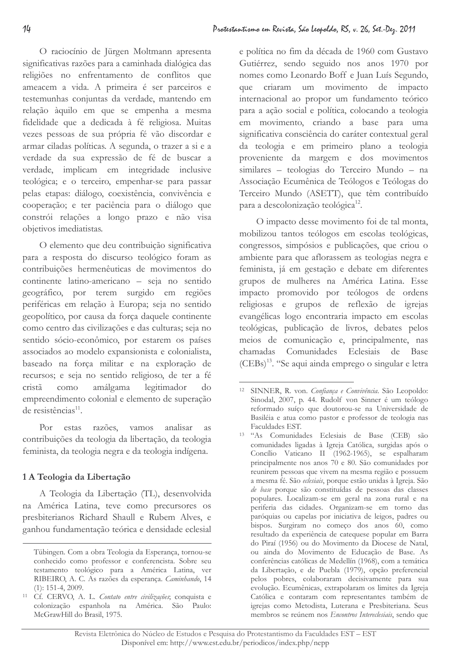O raciocínio de Jürgen Moltmann apresenta significativas razões para a caminhada dialógica das religiões no enfrentamento de conflitos que ameacem a vida. A primeira é ser parceiros e testemunhas conjuntas da verdade, mantendo em relação àquilo em que se empenha a mesma fidelidade que a dedicada à fé religiosa. Muitas vezes pessoas de sua própria fé vão discordar e armar ciladas políticas. A segunda, o trazer a si e a verdade da sua expressão de fé de buscar a verdade, implicam em integridade inclusive teológica; e o terceiro, empenhar-se para passar pelas etapas: diálogo, coexistência, convivência e cooperação; e ter paciência para o diálogo que constrói relações a longo prazo e não visa objetivos imediatistas.

O elemento que deu contribuição significativa para a resposta do discurso teológico foram as contribuições hermenêuticas de movimentos do continente latino-americano - seja no sentido geográfico, por terem surgido em regiões periféricas em relação à Europa; seja no sentido geopolítico, por causa da força daquele continente como centro das civilizações e das culturas; seja no sentido sócio-econômico, por estarem os países associados ao modelo expansionista e colonialista, baseado na força militar e na exploração de recursos; e seja no sentido religioso, de ter a fé como amálgama legitimador cristã do empreendimento colonial e elemento de superação de resistências<sup>11</sup>.

Por estas razões, vamos analisar  $a$ s contribuições da teologia da libertação, da teologia feminista, da teologia negra e da teologia indígena.

# 1 A Teologia da Libertação

A Teologia da Libertação (TL), desenvolvida na América Latina, teve como precursores os presbiterianos Richard Shaull e Rubem Alves, e ganhou fundamentação teórica e densidade eclesial e política no fim da década de 1960 com Gustavo Gutiérrez, sendo seguido nos anos 1970 por nomes como Leonardo Boff e Juan Luís Segundo, que criaram um movimento de impacto internacional ao propor um fundamento teórico para a ação social e política, colocando a teologia em movimento, criando a base para uma significativa consciência do caráter contextual geral da teologia e em primeiro plano a teologia proveniente da margem e dos movimentos similares - teologias do Terceiro Mundo - na Associação Ecumênica de Teólogos e Teólogas do Terceiro Mundo (ASETT), que têm contribuído para a descolonização teológica<sup>12</sup>.

O impacto desse movimento foi de tal monta, mobilizou tantos teólogos em escolas teológicas, congressos, simpósios e publicações, que criou o ambiente para que aflorassem as teologias negra e feminista, já em gestação e debate em diferentes grupos de mulheres na América Latina. Esse impacto promovido por teólogos de ordens religiosas e grupos de reflexão de igrejas evangélicas logo encontraria impacto em escolas teológicas, publicação de livros, debates pelos meios de comunicação e, principalmente, nas chamadas Comunidades Eclesiais de Base (CEBs)<sup>13</sup>. "Se aqui ainda emprego o singular e letra

Tübingen. Com a obra Teologia da Esperança, tornou-se conhecido como professor e conferencista. Sobre seu testamento teológico para a América Latina, ver RIBEIRO, A. C. As razões da esperança. Caminhando, 14  $(1)$ : 151-4, 2009.

<sup>&</sup>lt;sup>11</sup> Cf. CERVO, A. L. Contato entre civilizações; conquista e colonização espanhola na América. São Paulo: McGrawHill do Brasil, 1975.

<sup>&</sup>lt;sup>12</sup> SINNER, R. von. Confianca e Convivência. São Leopoldo: Sinodal, 2007, p. 44. Rudolf von Sinner é um teólogo reformado suíço que doutorou-se na Universidade de Basiléia e atua como pastor e professor de teologia nas Faculdades EST.

<sup>&</sup>lt;sup>13</sup> "As Comunidades Eclesiais de Base (CEB) são comunidades ligadas à Igreja Católica, surgidas após o Concílio Vaticano II (1962-1965), se espalharam principalmente nos anos 70 e 80. São comunidades por reunirem pessoas que vivem na mesma região e possuem a mesma fé. São eclesiais, porque estão unidas à Igreja. São de base porque são constituídas de pessoas das classes populares. Localizam-se em geral na zona rural e na periferia das cidades. Organizam-se em torno das paróquias ou capelas por iniciativa de leigos, padres ou bispos. Surgiram no começo dos anos 60, como resultado da experiência de catequese popular em Barra do Piraí (1956) ou do Movimento da Diocese de Natal, ou ainda do Movimento de Educação de Base. As conferências católicas de Medellín (1968), com a temática da Libertação, e de Puebla (1979), opção preferencial pelos pobres, colaboraram decisivamente para sua evolução. Ecumênicas, extrapolaram os limites da Igreja Católica e contaram com representantes também de igrejas como Metodista, Luterana e Presbiteriana. Seus membros se reúnem nos Encontros Intereclesiais, sendo que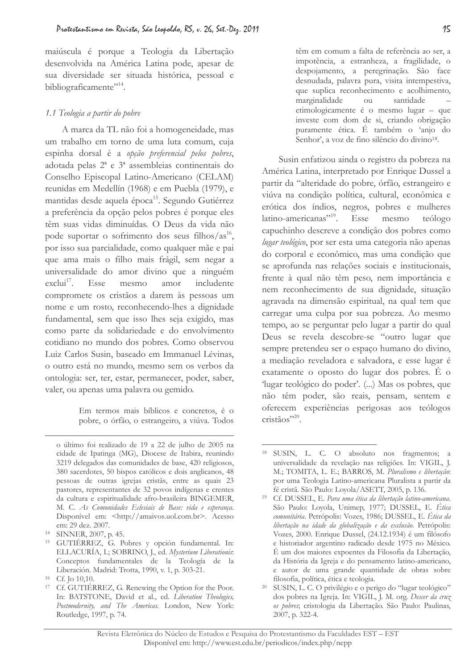maiúscula é porque a Teologia da Libertação desenvolvida na América Latina pode, apesar de sua diversidade ser situada histórica, pessoal e bibliograficamente"<sup>14</sup>.

### 1.1 Teologia a partir do pobre

A marca da TL não foi a homogeneidade, mas um trabalho em torno de uma luta comum, cuja espinha dorsal é a opção preferencial pelos pobres, adotada pelas 2ª e 3ª assembleias continentais do Conselho Episcopal Latino-Americano (CELAM) reunidas em Medellín (1968) e em Puebla (1979), e mantidas desde aquela época<sup>15</sup>. Segundo Gutiérrez a preferência da opção pelos pobres é porque eles têm suas vidas diminuídas. O Deus da vida não pode suportar o sofrimento dos seus filhos/ $a s^{16}$ , por isso sua parcialidade, como qualquer mãe e pai que ama mais o filho mais frágil, sem negar a universalidade do amor divino que a ninguém  $exclui<sup>17</sup>$ . Esse mesmo amor includente compromete os cristãos a darem às pessoas um nome e um rosto, reconhecendo-lhes a dignidade fundamental, sem que isso lhes seja exigido, mas como parte da solidariedade e do envolvimento cotidiano no mundo dos pobres. Como observou Luiz Carlos Susin, baseado em Immanuel Lévinas, o outro está no mundo, mesmo sem os verbos da ontologia: ser, ter, estar, permanecer, poder, saber, valer, ou apenas uma palavra ou gemido.

> Em termos mais bíblicos e concretos, é o pobre, o órfão, o estrangeiro, a viúva. Todos

têm em comum a falta de referência ao ser, a impotência, a estranheza, a fragilidade, o despojamento, a peregrinação. São face desnudada, palavra pura, visita intempestiva, que suplica reconhecimento e acolhimento, marginalidade ou santidade etimologicamente é o mesmo lugar - que investe com dom de si, criando obrigação puramente ética. É também o 'anjo do Senhor', a voz de fino silêncio do divino<sup>18</sup>.

Susin enfatizou ainda o registro da pobreza na América Latina, interpretado por Enrique Dussel a partir da "alteridade do pobre, órfão, estrangeiro e viúva na condição política, cultural, econômica e erótica dos índios, negros, pobres e mulheres latino-americanas"<sup>19</sup>. Esse mesmo teólogo capuchinho descreve a condição dos pobres como lugar teológico, por ser esta uma categoria não apenas do corporal e econômico, mas uma condição que se aprofunda nas relações sociais e institucionais, frente à qual não têm peso, nem importância e nem reconhecimento de sua dignidade, situação agravada na dimensão espiritual, na qual tem que carregar uma culpa por sua pobreza. Ao mesmo tempo, ao se perguntar pelo lugar a partir do qual Deus se revela descobre-se "outro lugar que sempre pretendeu ser o espaço humano do divino, a mediação reveladora e salvadora, e esse lugar é exatamente o oposto do lugar dos pobres. É o 'lugar teológico do poder'. (...) Mas os pobres, que não têm poder, são reais, pensam, sentem e oferecem experiências perigosas aos teólogos  $\text{cristãos}^{\prime,20}$ .

o último foi realizado de 19 a 22 de julho de 2005 na cidade de Ipatinga (MG), Diocese de Itabira, reunindo 3219 delegados das comunidades de base, 420 religiosos, 380 sacerdotes, 50 bispos católicos e dois anglicanos, 48 pessoas de outras igrejas cristãs, entre as quais 23 pastores, representantes de 32 povos indígenas e crentes da cultura e espiritualidade afro-brasileira BINGEMER, M. C. As Comunidades Eclesiais de Base: vida e esperança. Disponível em: <http://amaivos.uol.com.br>. Acesso em: 29 dez. 2007.

<sup>&</sup>lt;sup>14</sup> SINNER, 2007, p. 45.

<sup>&</sup>lt;sup>15</sup> GUTIÉRREZ, G. Pobres y opción fundamental. In: ELLACURÍA, I.; SOBRINO, J., ed. Mysterium Liberationis: Conceptos fundamentales de la Teología de la Liberación. Madrid: Trotta, 1990, v. 1, p. 303-21.

 $16$  Cf. Io 10.10.

<sup>&</sup>lt;sup>17</sup> Cf. GUTIÉRREZ, G. Renewing the Option for the Poor. In: BATSTONE, David et al., ed. Liberation Theologies, Postmodernity, and The Americas. London, New York: Routledge, 1997, p. 74.

<sup>&</sup>lt;sup>18</sup> SUSIN, L. C. O absoluto nos fragmentos: a universalidade da revelação nas religiões. In: VIGIL, J. M.; TOMITA, L. E.; BARROS, M. Pluralismo e libertação: por uma Teologia Latino-americana Pluralista a partir da fé cristã. São Paulo: Loyola/ASETT, 2005, p. 136.

<sup>&</sup>lt;sup>19</sup> Cf. DUSSEL, E. Para uma ética da libertação latino-americana. São Paulo: Loyola, Unimep, 1977; DUSSEL, E. Ética comunitária. Petrópolis: Vozes, 1986; DUSSEL, E. Ética da libertação na idade da globalização e da exclusão. Petrópolis: Vozes, 2000. Enrique Dussel, (24.12.1934) é um filósofo e historiador argentino radicado desde 1975 no México. É um dos maiores expoentes da Filosofia da Libertação, da História da Igreja e do pensamento latino-americano, e autor de uma grande quantidade de obras sobre filosofia, política, ética e teologia.

<sup>&</sup>lt;sup>20</sup> SUSIN, L. C. O privilégio e o perigo do "lugar teológico" dos pobres na Igreja. In: VIGIL, J. M. org. Descer da cruz os pobres; cristologia da Libertação. São Paulo: Paulinas, 2007, p. 322-4.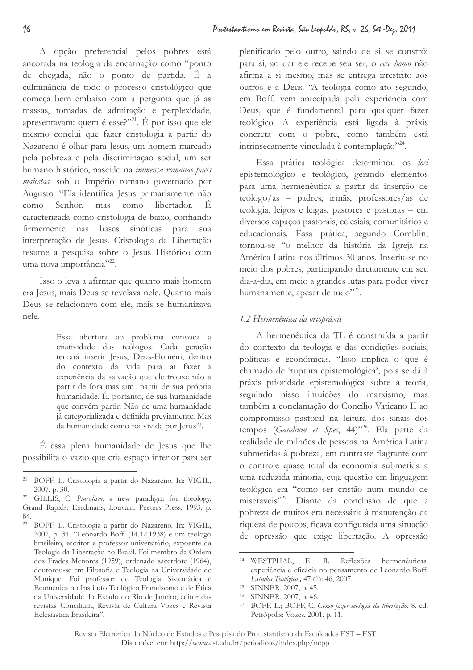A opção preferencial pelos pobres está ancorada na teologia da encarnação como "ponto de chegada, não o ponto de partida. É a culminância de todo o processo cristológico que começa bem embaixo com a pergunta que já as massas, tomadas de admiração e perplexidade, apresentavam: quem é esse?"<sup>21</sup>. É por isso que ele mesmo conclui que fazer cristologia a partir do Nazareno é olhar para Jesus, um homem marcado pela pobreza e pela discriminação social, um ser humano histórico, nascido na immensa romanae pacis maiestas, sob o Império romano governado por Augusto. "Ela identifica Jesus primariamente não Senhor, mas como libertador. É como caracterizada como cristologia de baixo, confiando firmemente nas bases sinóticas para sua

interpretação de Jesus. Cristologia da Libertação resume a pesquisa sobre o Jesus Histórico com uma nova importância"<sup>22</sup>.

Isso o leva a afirmar que quanto mais homem era Jesus, mais Deus se revelava nele. Quanto mais Deus se relacionava com ele, mais se humanizava nele.

> Essa abertura ao problema convoca a criatividade dos teólogos. Cada geração tentará inserir Jesus, Deus-Homem, dentro do contexto da vida para aí fazer a experiência da salvação que ele trouxe não a partir de fora mas sim partir de sua própria humanidade. É, portanto, de sua humanidade que convém partir. Não de uma humanidade já categorializada e definida previamente. Mas da humanidade como foi vivida por Jesus<sup>23</sup>.

É essa plena humanidade de Jesus que lhe possibilita o vazio que cria espaço interior para ser plenificado pelo outro, saindo de si se constrói para si, ao dar ele recebe seu ser, o ecce homo não afirma a si mesmo, mas se entrega irrestrito aos outros e a Deus. "A teologia como ato segundo, em Boff, vem antecipada pela experiência com Deus, que é fundamental para qualquer fazer teológico. A experiência está ligada à práxis concreta com o pobre, como também está intrinsecamente vinculada à contemplação"<sup>24</sup>.

Essa prática teológica determinou os loci epistemológico e teológico, gerando elementos para uma hermenêutica a partir da inserção de teólogo/as - padres, irmãs, professores/as de teologia, leigos e leigas, pastores e pastoras - em diversos espaços pastorais, eclesiais, comunitários e educacionais. Essa prática, segundo Comblin, tornou-se "o melhor da história da Igreja na América Latina nos últimos 30 anos. Inseriu-se no meio dos pobres, participando diretamente em seu dia-a-dia, em meio a grandes lutas para poder viver humanamente, apesar de tudo"<sup>25</sup>.

## 1.2 Hermenêutica da ortopráxis

A hermenêutica da TL é construída a partir do contexto da teologia e das condições sociais, políticas e econômicas. "Isso implica o que é chamado de 'ruptura epistemológica', pois se dá à práxis prioridade epistemológica sobre a teoria, seguindo nisso intuições do marxismo, mas também a conclamação do Concílio Vaticano II ao compromisso pastoral na leitura dos sinais dos tempos (Gaudium et Spes, 44)<sup>326</sup>. Ela parte da realidade de milhões de pessoas na América Latina submetidas à pobreza, em contraste flagrante com o controle quase total da economia submetida a uma reduzida minoria, cuja questão em linguagem teológica era "como ser cristão num mundo de miseráveis"<sup>27</sup>. Diante da conclusão de que a pobreza de muitos era necessária à manutenção da riqueza de poucos, ficava configurada uma situação de opressão que exige libertação. A opressão

 $21$ BOFF, L. Cristologia a partir do Nazareno. In: VIGIL, 2007, p. 30.

<sup>&</sup>lt;sup>22</sup> GILLIS, C. Pluralism: a new paradigm for theology. Grand Rapids: Eerdmans; Louvain: Peeters Press, 1993, p. 84

<sup>&</sup>lt;sup>23</sup> BOFF, L. Cristologia a partir do Nazareno. In: VIGIL, 2007, p. 34. "Leonardo Boff (14.12.1938) é um teólogo brasileiro, escritor e professor universitário, expoente da Teologia da Libertação no Brasil. Foi membro da Ordem dos Frades Menores (1959), ordenado sacerdote (1964), doutorou-se em Filosofia e Teologia na Universidade de Munique. Foi professor de Teologia Sistemática e Ecumênica no Instituto Teológico Franciscano e de Ética na Universidade do Estado do Rio de Janeiro, editor das revistas Concilium, Revista de Cultura Vozes e Revista Eclesiástica Brasileira".

<sup>&</sup>lt;sup>24</sup> WESTPHAL, E. R. Reflexões hermenêuticas: experiência e eficácia no pensamento de Leonardo Boff. Estudos Teológicos, 47 (1): 46, 2007.

<sup>&</sup>lt;sup>25</sup> SINNER, 2007, p. 45.

<sup>&</sup>lt;sup>26</sup> SINNER, 2007, p. 46.

<sup>&</sup>lt;sup>27</sup> BOFF, L.; BOFF, C. Como fazer teologia da libertação. 8. ed. Petrópolis: Vozes, 2001, p. 11.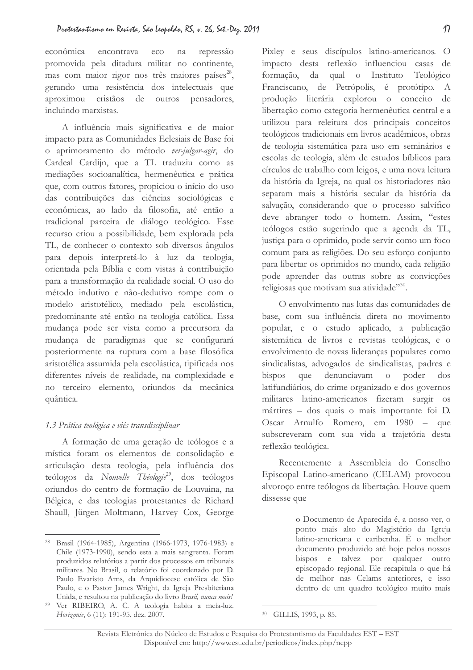econômica encontrava  $eco$ na repressão promovida pela ditadura militar no continente, mas com maior rigor nos três maiores países<sup>28</sup>, gerando uma resistência dos intelectuais que aproximou cristãos de outros pensadores, incluindo marxistas.

A influência mais significativa e de maior impacto para as Comunidades Eclesiais de Base foi o aprimoramento do método ver-julgar-agir, do Cardeal Cardijn, que a TL traduziu como as mediações socioanalítica, hermenêutica e prática que, com outros fatores, propiciou o início do uso das contribuições das ciências sociológicas e econômicas, ao lado da filosofia, até então a tradicional parceira de diálogo teológico. Esse recurso criou a possibilidade, bem explorada pela TL, de conhecer o contexto sob diversos ângulos para depois interpretá-lo à luz da teologia, orientada pela Bíblia e com vistas à contribuição para a transformação da realidade social. O uso do método indutivo e não-dedutivo rompe com o modelo aristotélico, mediado pela escolástica, predominante até então na teologia católica. Essa mudança pode ser vista como a precursora da mudança de paradigmas que se configurará posteriormente na ruptura com a base filosófica aristotélica assumida pela escolástica, tipificada nos diferentes níveis de realidade, na complexidade e no terceiro elemento, oriundos da mecânica quântica.

### 1.3 Prática teológica e viés transdisciplinar

A formação de uma geração de teólogos e a mística foram os elementos de consolidação e articulação desta teologia, pela influência dos teólogos da Nouvelle Théologie<sup>29</sup>, dos teólogos oriundos do centro de formação de Louvaina, na Bélgica, e das teologias protestantes de Richard Shaull, Jürgen Moltmann, Harvey Cox, George Pixley e seus discípulos latino-americanos. O impacto desta reflexão influenciou casas de formação, da qual o Instituto Teológico Franciscano, de Petrópolis, é protótipo. A produção literária explorou o conceito de libertação como categoria hermenêutica central e a utilizou para releitura dos principais conceitos teológicos tradicionais em livros acadêmicos, obras de teologia sistemática para uso em seminários e escolas de teologia, além de estudos bíblicos para círculos de trabalho com leigos, e uma nova leitura da história da Igreja, na qual os historiadores não separam mais a história secular da história da salvação, considerando que o processo salvífico deve abranger todo o homem. Assim, "estes teólogos estão sugerindo que a agenda da TL, justiça para o oprimido, pode servir como um foco comum para as religiões. Do seu esforço conjunto para libertar os oprimidos no mundo, cada religião pode aprender das outras sobre as convicções religiosas que motivam sua atividade"<sup>30</sup>.

O envolvimento nas lutas das comunidades de base, com sua influência direta no movimento popular, e o estudo aplicado, a publicação sistemática de livros e revistas teológicas, e o envolvimento de novas lideranças populares como sindicalistas, advogados de sindicalistas, padres e bispos que denunciavam  $\overline{O}$ poder  $d$ os latifundiários, do crime organizado e dos governos militares latino-americanos fizeram surgir os mártires - dos quais o mais importante foi D. Oscar Arnulfo Romero, em 1980 – que subscreveram com sua vida a trajetória desta reflexão teológica.

Recentemente a Assembleia do Conselho Episcopal Latino-americano (CELAM) provocou alvoroço entre teólogos da libertação. Houve quem dissesse que

> o Documento de Aparecida é, a nosso ver, o ponto mais alto do Magistério da Igreja latino-americana e caribenha. É o melhor documento produzido até hoje pelos nossos bispos e talvez por qualquer outro episcopado regional. Ele recapitula o que há de melhor nas Celams anteriores, e isso dentro de um quadro teológico muito mais

<sup>&</sup>lt;sup>28</sup> Brasil (1964-1985), Argentina (1966-1973, 1976-1983) e Chile (1973-1990), sendo esta a mais sangrenta. Foram produzidos relatórios a partir dos processos em tribunais militares. No Brasil, o relatório foi coordenado por D. Paulo Evaristo Arns, da Arquidiocese católica de São Paulo, e o Pastor James Wright, da Igreja Presbiteriana Unida, e resultou na publicação do livro Brasil, nunca mais!

<sup>&</sup>lt;sup>29</sup> Ver RIBEIRO, A. C. A teologia habita a meia-luz. Horizonte, 6 (11): 191-95, dez. 2007.

<sup>&</sup>lt;sup>30</sup> GILLIS, 1993, p. 85.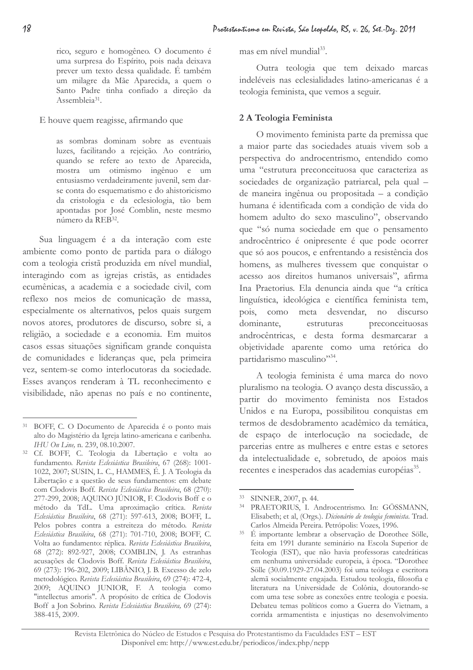rico, seguro e homogêneo. O documento é uma surpresa do Espírito, pois nada deixava prever um texto dessa qualidade. É também um milagre da Mãe Aparecida, a quem o Santo Padre tinha confiado a direção da Assembleia<sup>31</sup>.

E houve quem reagisse, afirmando que

as sombras dominam sobre as eventuais luzes, facilitando a rejeição. Ao contrário, quando se refere ao texto de Aparecida, mostra um otimismo ingênuo e um entusiasmo verdadeiramente juvenil, sem darse conta do esquematismo e do ahistoricismo da cristologia e da eclesiologia, tão bem apontadas por José Comblin, neste mesmo número da REB<sup>32</sup>.

Sua linguagem é a da interação com este ambiente como ponto de partida para o diálogo com a teologia cristã produzida em nível mundial, interagindo com as igrejas cristãs, as entidades ecumênicas, a academia e a sociedade civil, com reflexo nos meios de comunicação de massa, especialmente os alternativos, pelos quais surgem novos atores, produtores de discurso, sobre si, a religião, a sociedade e a economia. Em muitos casos essas situações significam grande conquista de comunidades e lideranças que, pela primeira vez, sentem-se como interlocutoras da sociedade. Esses avanços renderam à TL reconhecimento e visibilidade, não apenas no país e no continente, mas em nível mundial<sup>33</sup>.

Outra teologia que tem deixado marcas indeléveis nas eclesialidades latino-americanas é a teologia feminista, que vemos a seguir.

## 2 A Teologia Feminista

O movimento feminista parte da premissa que a maior parte das sociedades atuais vivem sob a perspectiva do androcentrismo, entendido como uma "estrutura preconceituosa que caracteriza as sociedades de organização patriarcal, pela qual de maneira ingênua ou propositada - a condição humana é identificada com a condição de vida do homem adulto do sexo masculino", observando que "só numa sociedade em que o pensamento androcêntrico é onipresente é que pode ocorrer que só aos poucos, e enfrentando a resistência dos homens, as mulheres tivessem que conquistar o acesso aos direitos humanos universais", afirma Ina Praetorius. Ela denuncia ainda que "a crítica linguística, ideológica e científica feminista tem, pois, como meta desvendar, no discurso dominante, estruturas preconceituosas androcêntricas, e desta forma desmarcarar a objetividade aparente como uma retórica do partidarismo masculino"<sup>34</sup>.

A teologia feminista é uma marca do novo pluralismo na teologia. O avanço desta discussão, a partir do movimento feminista nos Estados Unidos e na Europa, possibilitou conquistas em termos de desdobramento acadêmico da temática, de espaço de interlocução na sociedade, de parcerias entre as mulheres e entre estas e setores da intelectualidade e, sobretudo, de apoios mais recentes e inesperados das academias européias<sup>35</sup>.

 $18$ 

<sup>&</sup>lt;sup>31</sup> BOFF, C. O Documento de Aparecida é o ponto mais alto do Magistério da Igreja latino-americana e caribenha. IHU On Line, n. 239, 08.10.2007.

<sup>&</sup>lt;sup>32</sup> Cf. BOFF, C. Teologia da Libertação e volta ao fundamento. Revista Eclesiástica Brasileira, 67 (268): 1001-1022, 2007; SUSIN, L. C., HAMMES, É. J. A Teologia da Libertação e a questão de seus fundamentos: em debate com Clodovis Boff. Revista Eclesiástica Brasileira, 68 (270): 277-299, 2008; AQUINO JÚNIOR, F. Clodovis Boff e o método da TdL. Uma aproximação crítica. Revista Eclesiástica Brasileira, 68 (271): 597-613, 2008; BOFF, L. Pelos pobres contra a estreiteza do método. Revista Eclesiástica Brasileira, 68 (271): 701-710, 2008; BOFF, C. Volta ao fundamento: réplica. Revista Eclesiástica Brasileira, 68 (272): 892-927, 2008; COMBLIN, J. As estranhas acusações de Clodovis Boff. Revista Eclesiástica Brasileira, 69 (273): 196-202, 2009; LIBÂNIO, J. B. Excesso de zelo metodológico. Revista Eclesiástica Brasileira, 69 (274): 472-4, 2009; AQUINO JUNIOR, F. A teologia como "intellectus amoris". A propósito de crítica de Clodovis Boff a Jon Sobrino. Revista Eclesiástica Brasileira, 69 (274): 388-415, 2009.

<sup>33</sup> SINNER, 2007, p. 44.

<sup>&</sup>lt;sup>34</sup> PRAETORIUS, I. Androcentrismo. In: GÖSSMANN, Elisabeth; et al, (Orgs.). Dicionário de teologia feminista. Trad. Carlos Almeida Pereira. Petrópolis: Vozes, 1996.

<sup>35</sup> É importante lembrar a observação de Dorothee Sölle, feita em 1991 durante seminário na Escola Superior de Teologia (EST), que não havia professoras catedráticas em nenhuma universidade europeia, à época. "Dorothee Sölle (30.09.1929-27.04.2003) foi uma teóloga e escritora alemã socialmente engajada. Estudou teologia, filosofia e literatura na Universidade de Colônia, doutorando-se com uma tese sobre as conexões entre teologia e poesia. Debateu temas políticos como a Guerra do Vietnam, a corrida armamentista e injusticas no desenvolvimento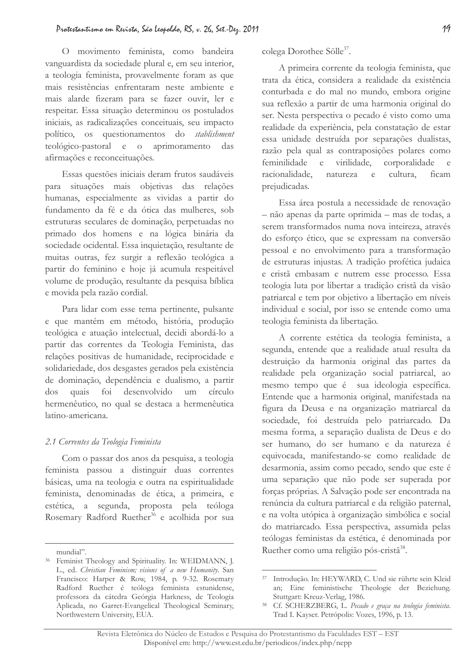O movimento feminista, como bandeira vanguardista da sociedade plural e, em seu interior, a teologia feminista, provavelmente foram as que mais resistências enfrentaram neste ambiente e mais alarde fizeram para se fazer ouvir, ler e respeitar. Essa situação determinou os postulados iniciais, as radicalizações conceituais, seu impacto político, os questionamentos do stablishment teológico-pastoral e o aprimoramento das afirmações e reconceituações.

Essas questões iniciais deram frutos saudáveis para situações mais objetivas das relações humanas, especialmente as vividas a partir do fundamento da fé e da ótica das mulheres, sob estruturas seculares de dominação, perpetuadas no primado dos homens e na lógica binária da sociedade ocidental. Essa inquietação, resultante de muitas outras, fez surgir a reflexão teológica a partir do feminino e hoje já acumula respeitável volume de produção, resultante da pesquisa bíblica e movida pela razão cordial.

Para lidar com esse tema pertinente, pulsante e que mantém em método, história, produção teológica e atuação intelectual, decidi abordá-lo a partir das correntes da Teologia Feminista, das relações positivas de humanidade, reciprocidade e solidariedade, dos desgastes gerados pela existência de dominação, dependência e dualismo, a partir desenvolvido  $\frac{d}{d}$ quais  $foi$ um círculo hermenêutico, no qual se destaca a hermenêutica latino-americana.

#### 2.1 Correntes da Teologia Feminista

Com o passar dos anos da pesquisa, a teologia feminista passou a distinguir duas correntes básicas, uma na teologia e outra na espiritualidade feminista, denominadas de ética, a primeira, e estética, a segunda, proposta pela teóloga Rosemary Radford Ruether<sup>36</sup> e acolhida por sua colega Dorothee Sölle<sup>37</sup>.

A primeira corrente da teologia feminista, que trata da ética, considera a realidade da existência conturbada e do mal no mundo, embora origine sua reflexão a partir de uma harmonia original do ser. Nesta perspectiva o pecado é visto como uma realidade da experiência, pela constatação de estar essa unidade destruída por separações dualistas, razão pela qual as contraposições polares como feminilidade virilidade.  $\epsilon$ corporalidade e racionalidade. natureza cultura, ficam  $\epsilon$ prejudicadas.

Essa área postula a necessidade de renovação - não apenas da parte oprimida - mas de todas, a serem transformados numa nova inteireza, através do esforço ético, que se expressam na conversão pessoal e no envolvimento para a transformação de estruturas injustas. A tradição profética judaica e cristã embasam e nutrem esse processo. Essa teologia luta por libertar a tradição cristã da visão patriarcal e tem por objetivo a libertação em níveis individual e social, por isso se entende como uma teologia feminista da libertação.

A corrente estética da teologia feminista, a segunda, entende que a realidade atual resulta da destruição da harmonia original das partes da realidade pela organização social patriarcal, ao mesmo tempo que é sua ideologia específica. Entende que a harmonia original, manifestada na figura da Deusa e na organização matriarcal da sociedade, foi destruída pelo patriarcado. Da mesma forma, a separação dualista de Deus e do ser humano, do ser humano e da natureza é equivocada, manifestando-se como realidade de desarmonia, assim como pecado, sendo que este é uma separação que não pode ser superada por forças próprias. A Salvação pode ser encontrada na renúncia da cultura patriarcal e da religião paternal, e na volta utópica à organização simbólica e social do matriarcado. Essa perspectiva, assumida pelas teólogas feministas da estética, é denominada por Ruether como uma religião pós-cristã<sup>38</sup>.

19

mundial".

<sup>&</sup>lt;sup>36</sup> Feminist Theology and Spirituality. In: WEIDMANN, J. L., ed. Christian Feminism; visions of a new Humanity. San Francisco: Harper & Row, 1984, p. 9-32. Rosemary Radford Ruether é teóloga feminista estunidense, professora da cátedra Geórgia Harkness, de Teologia Aplicada, no Garret-Evangelical Theological Seminary, Northwestern University, EUA.

<sup>&</sup>lt;sup>37</sup> Introducão, In: HEYWARD, C. Und sie rührte sein Kleid an; Eine feministische Theologie der Beziehung. Stuttgart: Kreuz-Verlag, 1986.

<sup>38</sup> Cf. SCHERZBERG, L. Pecado e graça na teologia feminista. Trad I. Kayser. Petrópolis: Vozes, 1996, p. 13.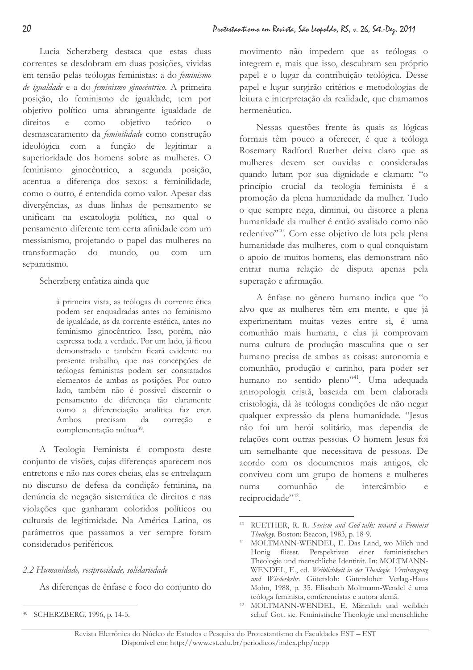Lucia Scherzberg destaca que estas duas correntes se desdobram em duas posições, vividas em tensão pelas teólogas feministas: a do feminismo de igualdade e a do feminismo ginocêntrico. A primeira posição, do feminismo de igualdade, tem por objetivo político uma abrangente igualdade de direitos  $e$ como objetivo teórico desmascaramento da feminilidade como construção ideológica com a função de legitimar a superioridade dos homens sobre as mulheres. O feminismo ginocêntrico, a segunda posição, acentua a diferença dos sexos: a feminilidade, como o outro, é entendida como valor. Apesar das divergências, as duas linhas de pensamento se unificam na escatologia política, no qual o pensamento diferente tem certa afinidade com um messianismo, projetando o papel das mulheres na transformação  $d\sigma$ mundo, ou  $com$  $um$ separatismo.

### Scherzberg enfatiza ainda que

à primeira vista, as teólogas da corrente ética podem ser enquadradas antes no feminismo de igualdade, as da corrente estética, antes no feminismo ginocêntrico. Isso, porém, não expressa toda a verdade. Por um lado, já ficou demonstrado e também ficará evidente no presente trabalho, que nas concepções de teólogas feministas podem ser constatados elementos de ambas as posições. Por outro lado, também não é possível discernir o pensamento de diferenca tão claramente como a diferenciação analítica faz crer. Ambos precisam da correção  $\rho$ complementação mútua<sup>39</sup>.

A Teologia Feminista é composta deste conjunto de visões, cujas diferenças aparecem nos entretons e não nas cores cheias, elas se entrelaçam no discurso de defesa da condição feminina, na denúncia de negação sistemática de direitos e nas violações que ganharam coloridos políticos ou culturais de legitimidade. Na América Latina, os parâmetros que passamos a ver sempre foram considerados periféricos.

## 2.2 Humanidade, reciprocidade, solidariedade

As diferenças de ênfase e foco do conjunto do

movimento não impedem que as teólogas o integrem e, mais que isso, descubram seu próprio papel e o lugar da contribuição teológica. Desse papel e lugar surgirão critérios e metodologias de leitura e interpretação da realidade, que chamamos hermenêutica.

Nessas questões frente às quais as lógicas formais têm pouco a oferecer, é que a teóloga Rosemary Radford Ruether deixa claro que as mulheres devem ser ouvidas e consideradas quando lutam por sua dignidade e clamam: "o princípio crucial da teologia feminista é a promoção da plena humanidade da mulher. Tudo o que sempre nega, diminui, ou distorce a plena humanidade da mulher é então avaliado como não redentivo"<sup>40</sup>. Com esse objetivo de luta pela plena humanidade das mulheres, com o qual conquistam o apoio de muitos homens, elas demonstram não entrar numa relação de disputa apenas pela superação e afirmação.

A ênfase no gênero humano indica que "o alvo que as mulheres têm em mente, e que já experimentam muitas vezes entre si, é uma comunhão mais humana, e elas já comprovam numa cultura de produção masculina que o ser humano precisa de ambas as coisas: autonomia e comunhão, produção e carinho, para poder ser humano no sentido pleno"<sup>41</sup>. Uma adequada antropologia cristã, baseada em bem elaborada cristologia, dá às teólogas condições de não negar qualquer expressão da plena humanidade. "Jesus não foi um herói solitário, mas dependia de relações com outras pessoas. O homem Jesus foi um semelhante que necessitava de pessoas. De acordo com os documentos mais antigos, ele conviveu com um grupo de homens e mulheres numa comunhão  $de$ intercâmbio  $\alpha$ reciprocidade",42.

<sup>39</sup> SCHERZBERG, 1996, p. 14-5.

<sup>&</sup>lt;sup>40</sup> RUETHER, R. R. Sexism and God-talk: toward a Feminist Theology. Boston: Beacon, 1983, p. 18-9.

<sup>41</sup> MOLTMANN-WENDEL, E. Das Land, wo Milch und Honig fliesst. Perspektiven einer feministischen Theologie und menschliche Identität. In: MOLTMANN-WENDEL, E., ed. Weiblichkeit in der Theologie. Verdrängung und Wiederkehr. Gütersloh: Gütersloher Verlag.-Haus Mohn, 1988, p. 35. Elisabeth Moltmann-Wendel é uma teóloga feminista, conferencistas e autora alemã.

<sup>&</sup>lt;sup>42</sup> MOLTMANN-WENDEL, E. Männlich und weiblich schuf Gott sie. Feministische Theologie und menschliche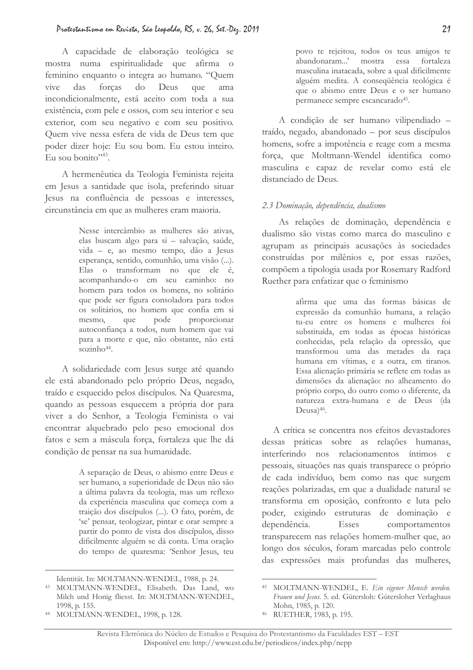A capacidade de elaboração teológica se mostra numa espiritualidade que afirma o feminino enquanto o integra ao humano. "Quem das forcas  $d<sub>O</sub>$ vive Deus que ama incondicionalmente, está aceito com toda a sua existência, com pele e ossos, com seu interior e seu exterior, com seu negativo e com seu positivo. Quem vive nessa esfera de vida de Deus tem que poder dizer hoje: Eu sou bom. Eu estou inteiro. Eu sou bonito" $^{43}$ .

A hermenêutica da Teologia Feminista rejeita em Jesus a santidade que isola, preferindo situar Jesus na confluência de pessoas e interesses, circunstância em que as mulheres eram maioria.

> Nesse intercâmbio as mulheres são ativas, elas buscam algo para si - salvação, saúde, vida - e, ao mesmo tempo, dão a Jesus esperança, sentido, comunhão, uma visão (...). Elas o transformam no que ele é, acompanhando-o em seu caminho: no homem para todos os homens, no solitário que pode ser figura consoladora para todos os solitários, no homem que confia em si pode proporcionar mesmo, que autoconfiança a todos, num homem que vai para a morte e que, não obstante, não está sozinh $o<sup>44</sup>$ .

A solidariedade com Jesus surge até quando ele está abandonado pelo próprio Deus, negado, traído e esquecido pelos discípulos. Na Quaresma, quando as pessoas esquecem a própria dor para viver a do Senhor, a Teologia Feminista o vai encontrar alquebrado pelo peso emocional dos fatos e sem a máscula forca, fortaleza que lhe dá condição de pensar na sua humanidade.

> A separação de Deus, o abismo entre Deus e ser humano, a superioridade de Deus não são a última palavra da teologia, mas um reflexo da experiência masculina que começa com a traição dos discípulos (...). O fato, porém, de 'se' pensar, teologizar, pintar e orar sempre a partir do ponto de vista dos discípulos, disso dificilmente alguém se dá conta. Uma oração do tempo de quaresma: 'Senhor Jesus, teu

povo te rejeitou, todos os teus amigos te abandonaram...' mostra essa fortaleza masculina inatacada, sobre a qual dificilmente alguém medita. A consequência teológica é que o abismo entre Deus e o ser humano permanece sempre escancarado<sup>45</sup>.

A condição de ser humano vilipendiado traído, negado, abandonado - por seus discípulos homens, sofre a impotência e reage com a mesma força, que Moltmann-Wendel identifica como masculina e capaz de revelar como está ele distanciado de Deus.

### 2.3 Dominação, dependência, dualismo

As relações de dominação, dependência e dualismo são vistas como marca do masculino e agrupam as principais acusações às sociedades construídas por milênios e, por essas razões, compõem a tipologia usada por Rosemary Radford Ruether para enfatizar que o feminismo

> afirma que uma das formas básicas de expressão da comunhão humana, a relação tu-eu entre os homens e mulheres foi substituída, em todas as épocas históricas conhecidas, pela relação da opressão, que transformou uma das metades da raça humana em vítimas, e a outra, em tiranos. Essa alienação primária se reflete em todas as dimensões da alienação: no alheamento do próprio corpo, do outro como o diferente, da natureza extra-humana e de Deus (da Deusa)<sup>46</sup>.

A crítica se concentra nos efeitos devastadores dessas práticas sobre as relações humanas, interferindo nos relacionamentos íntimos e pessoais, situações nas quais transparece o próprio de cada indivíduo, bem como nas que surgem reações polarizadas, em que a dualidade natural se transforma em oposição, confronto e luta pelo poder, exigindo estruturas de dominação e dependência. Esses comportamentos transparecem nas relações homem-mulher que, ao longo dos séculos, foram marcadas pelo controle das expressões mais profundas das mulheres,

Identität. In: MOLTMANN-WENDEL, 1988, p. 24.

<sup>&</sup>lt;sup>43</sup> MOLTMANN-WENDEL, Elisabeth. Das Land, wo Milch und Honig fliesst. In: MOLTMANN-WENDEL, 1998, p. 155.

<sup>&</sup>lt;sup>44</sup> MOLTMANN-WENDEL, 1998, p. 128.

<sup>&</sup>lt;sup>45</sup> MOLTMANN-WENDEL, E. Ein eigener Mensch werden. Frauen und Jesus. 5. ed. Gütersloh: Gütersloher Verlaghaus Mohn, 1985, p. 120.

<sup>46</sup> RUETHER, 1983, p. 195.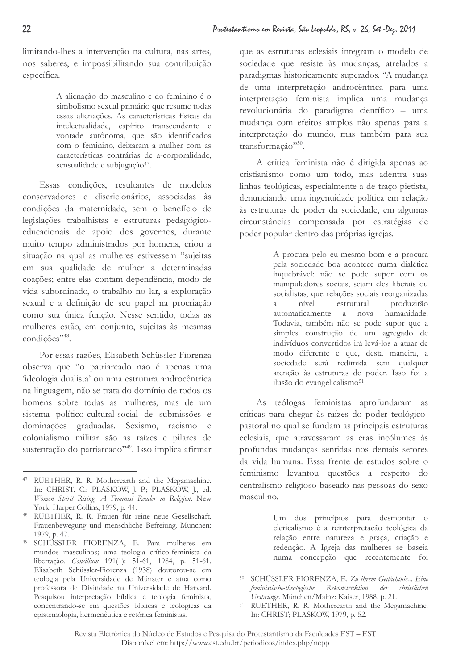limitando-lhes a intervenção na cultura, nas artes, nos saberes, e impossibilitando sua contribuição específica.

> A alienação do masculino e do feminino é o simbolismo sexual primário que resume todas essas alienações. As características físicas da intelectualidade, espírito transcendente e vontade autônoma, que são identificados com o feminino, deixaram a mulher com as características contrárias de a-corporalidade, sensualidade e subjugação<sup>47</sup>.

Essas condições, resultantes de modelos conservadores e discricionários, associadas às condições da maternidade, sem o benefício de legislações trabalhistas e estruturas pedagógicoeducacionais de apoio dos governos, durante muito tempo administrados por homens, criou a situação na qual as mulheres estivessem "sujeitas em sua qualidade de mulher a determinadas coações; entre elas contam dependência, modo de vida subordinado, o trabalho no lar, a exploração sexual e a definição de seu papel na procriação como sua única função. Nesse sentido, todas as mulheres estão, em conjunto, sujeitas às mesmas condições",48.

Por essas razões. Elisabeth Schüssler Fiorenza observa que "o patriarcado não é apenas uma 'ideologia dualista' ou uma estrutura androcêntrica na linguagem, não se trata do domínio de todos os homens sobre todas as mulheres, mas de um sistema político-cultural-social de submissões e dominações graduadas. Sexismo, racismo e colonialismo militar são as raízes e pilares de sustentação do patriarcado",49. Isso implica afirmar

que as estruturas eclesiais integram o modelo de sociedade que resiste às mudanças, atrelados a paradigmas historicamente superados. "A mudança de uma interpretação androcêntrica para uma interpretação feminista implica uma mudança revolucionária do paradigma científico - uma mudança com efeitos amplos não apenas para a interpretação do mundo, mas também para sua transformação"<sup>50</sup>.

A crítica feminista não é dirigida apenas ao cristianismo como um todo, mas adentra suas linhas teológicas, especialmente a de traço pietista, denunciando uma ingenuidade política em relação às estruturas de poder da sociedade, em algumas circunstâncias compensada por estratégias de poder popular dentro das próprias igrejas.

> A procura pelo eu-mesmo bom e a procura pela sociedade boa acontece numa dialética inquebrável: não se pode supor com os manipuladores sociais, sejam eles liberais ou socialistas, que relações sociais reorganizadas nível estrutural produzirão  $\overline{a}$ automaticamente a nova humanidade. Todavia, também não se pode supor que a simples construção de um agregado de indivíduos convertidos irá levá-los a atuar de modo diferente e que, desta maneira, a sociedade será redimida sem qualquer atenção às estruturas de poder. Isso foi a ilusão do evangelicalismo<sup>51</sup>.

As teólogas feministas aprofundaram as críticas para chegar às raízes do poder teológicopastoral no qual se fundam as principais estruturas eclesiais, que atravessaram as eras incólumes às profundas mudanças sentidas nos demais setores da vida humana. Essa frente de estudos sobre o feminismo levantou questões a respeito do centralismo religioso baseado nas pessoas do sexo masculino.

> Um dos princípios para desmontar o clericalismo é a reinterpretação teológica da relação entre natureza e graça, criação e redenção. A Igreja das mulheres se baseia numa concepção que recentemente foi

<sup>47</sup> RUETHER, R. R. Motherearth and the Megamachine. In: CHRIST, C.; PLASKOW, J. P.; PLASKOW, J., ed. Women Spirit Rising. A Feminist Reader in Religion. New York: Harper Collins, 1979, p. 44.

<sup>48</sup> RUETHER, R. R. Frauen für reine neue Gesellschaft. Frauenbewegung und menschliche Befreiung. München: 1979, p. 47.

<sup>49</sup> SCHÜSSLER FIORENZA, E. Para mulheres em mundos masculinos; uma teologia crítico-feminista da libertação. Concilium 191(1): 51-61, 1984, p. 51-61. Elisabeth Schüssler-Fiorenza (1938) doutorou-se em teologia pela Universidade de Münster e atua como professora de Divindade na Universidade de Harvard. Pesquisou interpretação bíblica e teologia feminista, concentrando-se em questões bíblicas e teológicas da epistemologia, hermenêutica e retórica feministas.

<sup>&</sup>lt;sup>50</sup> SCHÜSSLER FIORENZA, E. Zu ihrem Gedächtnis... Eine feministische-theologische Rekonstruktion der christlichen Urstrünge. München/Mainz: Kaiser, 1988, p. 21.

<sup>&</sup>lt;sup>51</sup> RUETHER, R. R. Motherearth and the Megamachine. In: CHRIST; PLASKOW, 1979, p. 52.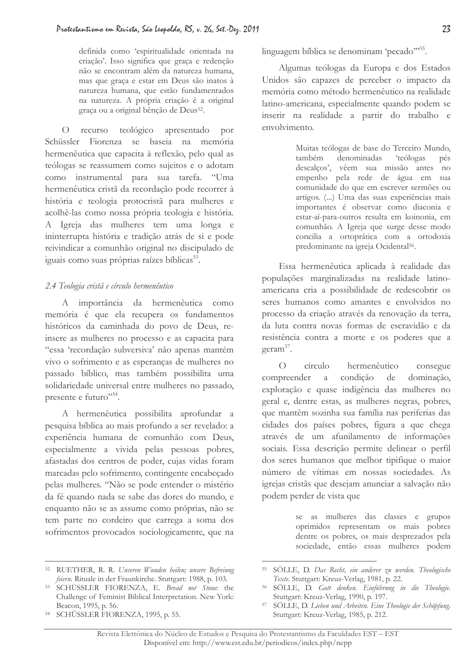definida como 'espiritualidade orientada na criação'. Isso significa que graça e redenção não se encontram além da natureza humana, mas que graça e estar em Deus são inatos à natureza humana, que estão fundamentados na natureza. A própria criação é a original graça ou a original bênção de Deus<sup>52</sup>.

O recurso teológico apresentado por Schüssler Fiorenza se baseia na memória hermenêutica que capacita à reflexão, pelo qual as teólogas se reassumem como sujeitos e o adotam como instrumental para sua tarefa. "Uma hermenêutica cristã da recordação pode recorrer à história e teologia protocristã para mulheres e acolhê-las como nossa própria teologia e história. A Igreja das mulheres tem uma longa e ininterrupta história e tradição atrás de si e pode reivindicar a comunhão original no discipulado de iguais como suas próprias raízes bíblicas<sup>53</sup>.

### 2.4 Teologia cristã e círculo hermenêntico

A importância da hermenêutica como memória é que ela recupera os fundamentos históricos da caminhada do povo de Deus, reinsere as mulheres no processo e as capacita para "essa 'recordação subversiva' não apenas mantém vivo o sofrimento e as esperanças de mulheres no passado bíblico, mas também possibilita uma solidariedade universal entre mulheres no passado, presente e futuro"<sup>54</sup>.

A hermenêutica possibilita aprofundar a pesquisa bíblica ao mais profundo a ser revelado: a experiência humana de comunhão com Deus, especialmente a vivida pelas pessoas pobres, afastadas dos centros de poder, cujas vidas foram marcadas pelo sofrimento, contingente encabeçado pelas mulheres. "Não se pode entender o mistério da fé quando nada se sabe das dores do mundo, e enquanto não se as assume como próprias, não se tem parte no cordeiro que carrega a soma dos sofrimentos provocados sociologicamente, que na linguagem bíblica se denominam 'pecado"<sup>55</sup>.

Algumas teólogas da Europa e dos Estados Unidos são capazes de perceber o impacto da memória como método hermenêutico na realidade latino-americana, especialmente quando podem se inserir na realidade a partir do trabalho e envolvimento.

> Muitas teólogas de base do Terceiro Mundo, também denominadas *'teólogas* pés descalços', vêem sua missão antes no empenho pela rede de água em sua comunidade do que em escrever sermões ou artigos. ( ... ) Uma das suas experiências mais importantes é observar como diaconia e estar-aí-para-outros resulta em koinonia, em comunhão. A Igreja que surge desse modo concilia a ortoprática com a ortodoxia predominante na igreja Ocidental<sup>56</sup>.

Essa hermenêutica aplicada à realidade das populações marginalizadas na realidade latinoamericana cria a possibilidade de redescobrir os seres humanos como amantes e envolvidos no processo da criação através da renovação da terra, da luta contra novas formas de escravidão e da resistência contra a morte e os poderes que a geram<sup>57</sup>.

 $\overline{O}$ círculo hermenêutico consegue compreender a condição de dominação, exploração e quase indigência das mulheres no geral e, dentre estas, as mulheres negras, pobres, que mantêm sozinha sua família nas periferias das cidades dos países pobres, figura a que chega através de um afunilamento de informações sociais. Essa descrição permite delinear o perfil dos seres humanos que melhor tipifique o maior número de vítimas em nossas sociedades. As igrejas cristãs que desejam anunciar a salvação não podem perder de vista que

> se as mulheres das classes e grupos oprimidos representam os mais pobres dentre os pobres, os mais desprezados pela sociedade, então essas mulheres podem

<sup>&</sup>lt;sup>52</sup> RUETHER, R. R. Unseren Wunden heilen; unsere Befreiung feiern. Rituale in der Fraunkirche. Stuttgart: 1988, p. 103.

<sup>&</sup>lt;sup>53</sup> SCHÜSSLER FIORENZA, E. Bread not Stone: the Challenge of Feminist Biblical Interpretation. New York: Beacon, 1995, p. 56.

<sup>&</sup>lt;sup>54</sup> SCHÜSSLER FIORENZA, 1995, p. 55.

<sup>55</sup> SÖLLE, D. Das Recht, ein anderer zu werden. Theologische Texte. Stuttgart: Kreuz-Verlag, 1981, p. 22.

<sup>&</sup>lt;sup>56</sup> SÖLLE, D. Gott denken. Einführung in die Theologie. Stuttgart: Kreuz-Verlag, 1990, p. 197.

<sup>57</sup> SÖLLE, D. Lieben und Arbeiten. Eine Theologie der Schöpfung. Stuttgart: Kreuz-Verlag, 1985, p. 212.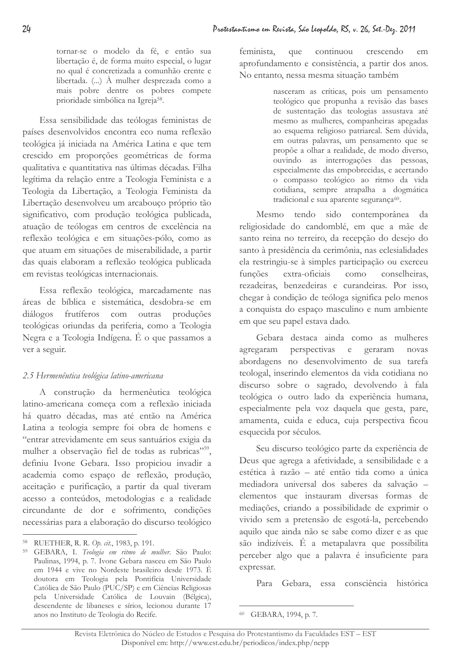tornar-se o modelo da fé, e então sua libertação é, de forma muito especial, o lugar no qual é concretizada a comunhão crente e libertada. (...) À mulher desprezada como a mais pobre dentre os pobres compete prioridade simbólica na Igreja<sup>58</sup>.

Essa sensibilidade das teólogas feministas de países desenvolvidos encontra eco numa reflexão teológica já iniciada na América Latina e que tem crescido em proporções geométricas de forma qualitativa e quantitativa nas últimas décadas. Filha legítima da relação entre a Teologia Feminista e a Teologia da Libertação, a Teologia Feminista da Libertação desenvolveu um arcabouço próprio tão significativo, com produção teológica publicada, atuação de teólogas em centros de excelência na reflexão teológica e em situações-pólo, como as que atuam em situações de miserabilidade, a partir das quais elaboram a reflexão teológica publicada em revistas teológicas internacionais.

Essa reflexão teológica, marcadamente nas áreas de bíblica e sistemática, desdobra-se em diálogos frutíferos com outras produções teológicas oriundas da periferia, como a Teologia Negra e a Teologia Indígena. É o que passamos a ver a seguir.

### 2.5 Hermenêutica teológica latino-americana

A construção da hermenêutica teológica latino-americana começa com a reflexão iniciada há quatro décadas, mas até então na América Latina a teologia sempre foi obra de homens e "entrar atrevidamente em seus santuários exigia da mulher a observação fiel de todas as rubricas", definiu Ivone Gebara. Isso propiciou invadir a academia como espaço de reflexão, produção, aceitação e purificação, a partir da qual tiveram acesso a conteúdos, metodologias e a realidade circundante de dor e sofrimento, condições necessárias para a elaboração do discurso teológico

feminista, que continuou crescendo em aprofundamento e consistência, a partir dos anos. No entanto, nessa mesma situação também

> nasceram as críticas, pois um pensamento teológico que propunha a revisão das bases de sustentação das teologias assustava até mesmo as mulheres, companheiras apegadas ao esquema religioso patriarcal. Sem dúvida, em outras palavras, um pensamento que se propõe a olhar a realidade, de modo diverso, ouvindo as interrogações das pessoas, especialmente das empobrecidas, e acertando o compasso teológico ao ritmo da vida cotidiana, sempre atrapalha a dogmática tradicional e sua aparente segurança<sup>60</sup>.

sido contemporânea da Mesmo tendo religiosidade do candomblé, em que a mãe de santo reina no terreiro, da recepção do desejo do santo à presidência da cerimônia, nas eclesialidades ela restringiu-se à simples participação ou exerceu funções extra-oficiais como conselheiras, rezadeiras, benzedeiras e curandeiras. Por isso, chegar à condição de teóloga significa pelo menos a conquista do espaço masculino e num ambiente em que seu papel estava dado.

Gebara destaca ainda como as mulheres agregaram perspectivas e geraram novas abordagens no desenvolvimento de sua tarefa teologal, inserindo elementos da vida cotidiana no discurso sobre o sagrado, devolvendo à fala teológica o outro lado da experiência humana, especialmente pela voz daquela que gesta, pare, amamenta, cuida e educa, cuja perspectiva ficou esquecida por séculos.

Seu discurso teológico parte da experiência de Deus que agrega a afetividade, a sensibilidade e a estética à razão - até então tida como a única mediadora universal dos saberes da salvação elementos que instauram diversas formas de mediações, criando a possibilidade de exprimir o vivido sem a pretensão de esgotá-la, percebendo aquilo que ainda não se sabe como dizer e as que são indizíveis. É a metapalavra que possibilita perceber algo que a palavra é insuficiente para expressar.

Para Gebara, essa consciência histórica

<sup>&</sup>lt;sup>58</sup> RUETHER, R. R. Op. cit., 1983, p. 191.

<sup>&</sup>lt;sup>59</sup> GEBARA, I. Teologia em ritmo de mulher. São Paulo: Paulinas, 1994, p. 7. Ivone Gebara nasceu em São Paulo em 1944 e vive no Nordeste brasileiro desde 1973. É doutora em Teologia pela Pontifícia Universidade Católica de São Paulo (PUC/SP) e em Ciências Religiosas pela Universidade Católica de Louvain (Bélgica), descendente de libaneses e sírios, lecionou durante 17 anos no Instituto de Teologia do Recife.

<sup>60</sup> GEBARA, 1994, p. 7.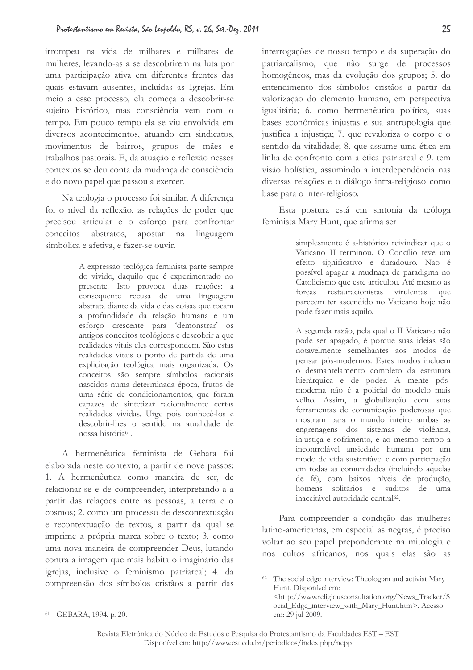irrompeu na vida de milhares e milhares de mulheres, levando-as a se descobrirem na luta por uma participação ativa em diferentes frentes das quais estavam ausentes, incluídas as Igrejas. Em meio a esse processo, ela começa a descobrir-se sujeito histórico, mas consciência vem com o tempo. Em pouco tempo ela se viu envolvida em diversos acontecimentos, atuando em sindicatos, movimentos de bairros, grupos de mães e trabalhos pastorais. E, da atuação e reflexão nesses contextos se deu conta da mudança de consciência e do novo papel que passou a exercer.

Na teologia o processo foi similar. A diferença foi o nível da reflexão, as relações de poder que precisou articular e o esforço para confrontar conceitos abstratos. apostar na linguagem simbólica e afetiva, e fazer-se ouvir.

> A expressão teológica feminista parte sempre do vivido, daquilo que é experimentado no presente. Isto provoca duas reações: a consequente recusa de uma linguagem abstrata diante da vida e das coisas que tocam a profundidade da relação humana e um esforço crescente para 'demonstrar' os antigos conceitos teológicos e descobrir a que realidades vitais eles correspondem. São estas realidades vitais o ponto de partida de uma explicitação teológica mais organizada. Os conceitos são sempre símbolos racionais nascidos numa determinada época, frutos de uma série de condicionamentos, que foram capazes de sintetizar racionalmente certas realidades vividas. Urge pois conhecê-los e descobrir-lhes o sentido na atualidade de nossa história<sup>61</sup>.

A hermenêutica feminista de Gebara foi elaborada neste contexto, a partir de nove passos: 1. A hermenêutica como maneira de ser, de relacionar-se e de compreender, interpretando-a a partir das relações entre as pessoas, a terra e o cosmos; 2. como um processo de descontextuação e recontextuação de textos, a partir da qual se imprime a própria marca sobre o texto; 3. como uma nova maneira de compreender Deus, lutando contra a imagem que mais habita o imaginário das igrejas, inclusive o feminismo patriarcal; 4. da compreensão dos símbolos cristãos a partir das

Esta postura está em sintonia da teóloga feminista Mary Hunt, que afirma ser

> simplesmente é a-histórico reivindicar que o Vaticano II terminou. O Concílio teve um efeito significativo e duradouro. Não é possível apagar a mudnaça de paradigma no Catolicismo que este articulou. Até mesmo as forcas restauracionistas virulentas que parecem ter ascendido no Vaticano hoje não pode fazer mais aquilo.

> A segunda razão, pela qual o II Vaticano não pode ser apagado, é porque suas ideias são notavelmente semelhantes aos modos de pensar pós-modernos. Estes modos incluem o desmantelamento completo da estrutura hierárquica e de poder. A mente pósmoderna não é a policial do modelo mais velho. Assim, a globalização com suas ferramentas de comunicação poderosas que mostram para o mundo inteiro ambas as engrenagens dos sistemas de violência, injustiça e sofrimento, e ao mesmo tempo a incontrolável ansiedade humana por um modo de vida sustentável e com participação em todas as comunidades (incluindo aquelas de fé), com baixos níveis de produção, homens solitários e súditos de uma inaceitável autoridade central<sup>62</sup>.

Para compreender a condição das mulheres latino-americanas, em especial as negras, é preciso voltar ao seu papel preponderante na mitologia e nos cultos africanos, nos quais elas são as

em: 29 jul 2009.

interrogações de nosso tempo e da superação do patriarcalismo, que não surge de processos homogêneos, mas da evolução dos grupos; 5. do entendimento dos símbolos cristãos a partir da valorização do elemento humano, em perspectiva igualitária; 6. como hermenêutica política, suas bases econômicas injustas e sua antropologia que justifica a injustiça; 7. que revaloriza o corpo e o sentido da vitalidade; 8. que assume uma ética em linha de confronto com a ética patriarcal e 9. tem visão holística, assumindo a interdependência nas diversas relações e o diálogo intra-religioso como base para o inter-religioso.

<sup>&</sup>lt;sup>62</sup> The social edge interview: Theologian and activist Mary Hunt. Disponível em: <http://www.religiousconsultation.org/News Tracker/S ocial\_Edge\_interview\_with\_Mary\_Hunt.htm>. Acesso

<sup>61</sup> GEBARA, 1994, p. 20.

Revista Eletrônica do Núcleo de Estudos e Pesquisa do Protestantismo da Faculdades EST - EST Disponível em: http://www.est.edu.br/periodicos/index.php/nepp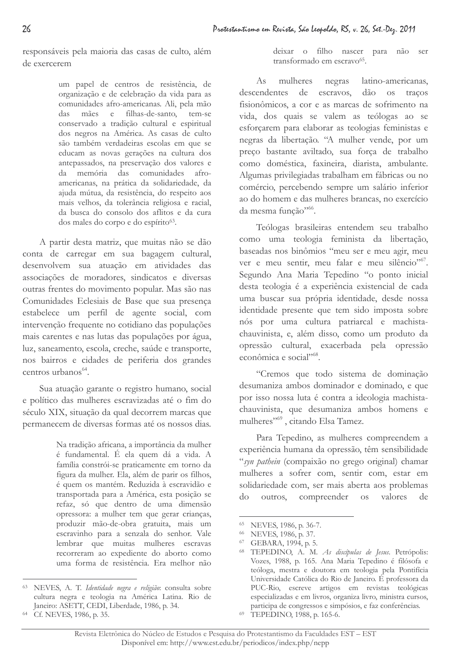responsáveis pela maioria das casas de culto, além de exercerem

> um papel de centros de resistência, de organização e de celebração da vida para as comunidades afro-americanas. Ali, pela mão filhas-de-santo, tem-se das mães e conservado a tradição cultural e espiritual dos negros na América. As casas de culto são também verdadeiras escolas em que se educam as novas gerações na cultura dos antepassados, na preservação dos valores e da memória das comunidades afroamericanas, na prática da solidariedade, da ajuda mútua, da resistência, do respeito aos mais velhos, da tolerância religiosa e racial, da busca do consolo dos aflitos e da cura dos males do corpo e do espírito<sup>63</sup>.

A partir desta matriz, que muitas não se dão conta de carregar em sua bagagem cultural, desenvolvem sua atuação em atividades das associações de moradores, sindicatos e diversas outras frentes do movimento popular. Mas são nas Comunidades Eclesiais de Base que sua presença estabelece um perfil de agente social, com intervenção frequente no cotidiano das populações mais carentes e nas lutas das populações por água, luz, saneamento, escola, creche, saúde e transporte, nos bairros e cidades de periferia dos grandes centros urbanos<sup>64</sup>.

Sua atuação garante o registro humano, social e político das mulheres escravizadas até o fim do século XIX, situação da qual decorrem marcas que permanecem de diversas formas até os nossos dias.

> Na tradição africana, a importância da mulher é fundamental. É ela quem dá a vida. A família constrói-se praticamente em torno da figura da mulher. Ela, além de parir os filhos, é quem os mantém. Reduzida à escravidão e transportada para a América, esta posição se refaz, só que dentro de uma dimensão opressora: a mulher tem que gerar crianças, produzir mão-de-obra gratuita, mais um escravinho para a senzala do senhor. Vale lembrar que muitas mulheres escravas recorreram ao expediente do aborto como uma forma de resistência. Era melhor não

deixar o filho nascer para não ser transformado em escravo<sup>65</sup>.

mulheres negras latino-americanas,  $As$ descendentes de escravos.  $d\tilde{a}$ o os tracos fisionômicos, a cor e as marcas de sofrimento na vida, dos quais se valem as teólogas ao se esforçarem para elaborar as teologias feministas e negras da libertação. "A mulher vende, por um preço bastante aviltado, sua força de trabalho como doméstica, faxineira, diarista, ambulante. Algumas privilegiadas trabalham em fábricas ou no comércio, percebendo sempre um salário inferior ao do homem e das mulheres brancas, no exercício da mesma função"66.

Teólogas brasileiras entendem seu trabalho como uma teologia feminista da libertação, baseadas nos binômios "meu ser e meu agir, meu ver e meu sentir, meu falar e meu silêncio"<sup>67</sup>. Segundo Ana Maria Tepedino "o ponto inicial desta teologia é a experiência existencial de cada uma buscar sua própria identidade, desde nossa identidade presente que tem sido imposta sobre nós por uma cultura patriarcal e machistachauvinista, e, além disso, como um produto da opressão cultural, exacerbada pela opressão econômica e social"68.

"Cremos que todo sistema de dominação desumaniza ambos dominador e dominado, e que por isso nossa luta é contra a ideologia machistachauvinista, que desumaniza ambos homens e mulheres"<sup>69</sup>, citando Elsa Tamez.

Para Tepedino, as mulheres compreendem a experiência humana da opressão, têm sensibilidade "syn pathein (compaixão no grego original) chamar mulheres a sofrer com, sentir com, estar em solidariedade com, ser mais aberta aos problemas outros,  $d<sub>O</sub>$ compreender valores OS<sub>1</sub> de

<sup>63</sup> NEVES, A. T. Identidade negra e religião: consulta sobre cultura negra e teologia na América Latina. Rio de Janeiro: ASETT, CEDI, Liberdade, 1986, p. 34.

<sup>&</sup>lt;sup>64</sup> Cf. NEVES, 1986, p. 35.

<sup>65</sup> NEVES, 1986, p. 36-7.

<sup>66</sup> NEVES, 1986, p. 37.

<sup>&</sup>lt;sup>67</sup> GEBARA, 1994, p. 5.

<sup>&</sup>lt;sup>68</sup> TEPEDINO, A. M. As discípulas de Jesus. Petrópolis: Vozes, 1988, p. 165. Ana Maria Tepedino é filósofa e teóloga, mestra e doutora em teologia pela Pontifícia Universidade Católica do Rio de Janeiro. É professora da PUC-Rio, escreve artigos em revistas teológicas especializadas e em livros, organiza livro, ministra cursos, participa de congressos e simpósios, e faz conferências. 69

TEPEDINO, 1988, p. 165-6.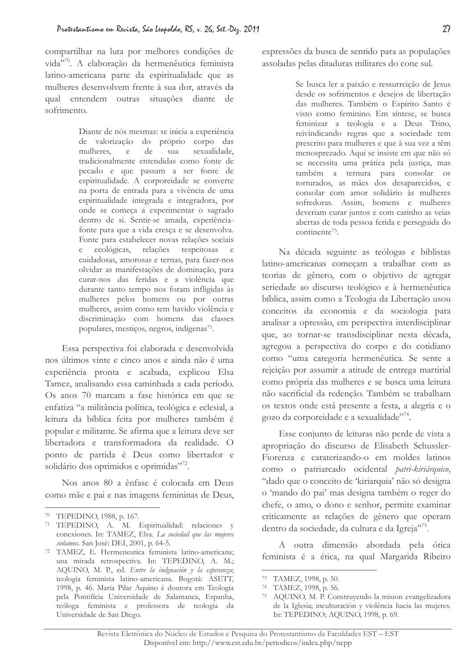compartilhar na luta por melhores condições de vida"70. A elaboração da hermenêutica feminista latino-americana parte da espiritualidade que as mulheres desenvolvem frente à sua dor, através da qual entendem outras situações diante de sofrimento

> Diante de nós mesmas: se inicia a experiência de valorização do próprio corpo das mulheres, e de sua sexualidade, tradicionalmente entendidas como fonte de pecado e que passam a ser fonte de espiritualidade. A corporeidade se converte na porta de entrada para a vivência de uma espiritualidade integrada e integradora, por onde se começa a experimentar o sagrado dentro de si. Sentir-se amada, experiênciafonte para que a vida cresça e se desenvolva. Fonte para estabelecer novas relações sociais ecológicas, relações respeitosas  $^{\circ}$  e cuidadosas, amorosas e ternas, para fazer-nos olvidar as manifestações de dominação, para curar-nos das feridas e a violência que durante tanto tempo nos foram infligidas às mulheres pelos homens ou por outras mulheres, assim como tem havido violência e discriminação com homens das classes populares, mestiços, negros, indígenas<sup>71</sup>.

Essa perspectiva foi elaborada e desenvolvida nos últimos vinte e cinco anos e ainda não é uma experiência pronta e acabada, explicou Elsa Tamez, analisando essa caminhada a cada período. Os anos 70 marcam a fase histórica em que se enfatiza "a militância política, teológica e eclesial, a leitura da bíblica feita por mulheres também é popular e militante. Se afirma que a leitura deve ser libertadora e transformadora da realidade. O ponto de partida é Deus como libertador e solidário dos oprimidos e oprimidas"<sup>72</sup>.

Nos anos 80 a ênfase é colocada em Deus como mãe e pai e nas imagens femininas de Deus, expressões da busca de sentido para as populações assoladas pelas ditaduras militares do cone sul.

> Se busca ler a paixão e ressurreição de Jesus desde os sofrimentos e desejos de libertação das mulheres. Também o Espírito Santo é visto como feminino. Em síntese, se busca feminizar a teologia e a Deus Trino, reivindicando regras que a sociedade tem prescrito para mulheres e que à sua vez a têm menosprezado. Aqui se insiste em que não só se necessita uma prática pela justiça, mas também a ternura para consolar os torturados, as mães dos desaparecidos, e consolar com amor solidário às mulheres sofredoras. Assim, homens e mulheres deveriam curar juntos e com carinho as veias abertas de toda pessoa ferida e perseguida do continente<sup>73</sup>.

Na década seguinte as teólogas e biblistas latino-americanas começam a trabalhar com as teorias de gênero, com o objetivo de agregar seriedade ao discurso teológico e à hermenêutica bíblica, assim como a Teologia da Libertação usou conceitos da economia e da sociologia para analisar a opressão, em perspectiva interdisciplinar que, ao tornar-se transdisciplinar nesta década, agregou a perspectiva do corpo e do cotidiano como "uma categoria hermenêutica. Se sente a rejeição por assumir a atitude de entrega martirial como própria das mulheres e se busca uma leitura não sacrificial da redenção. Também se trabalham os textos onde está presente a festa, a alegria e o gozo da corporeidade e a sexualidade"74.

Esse conjunto de leituras não perde de vista a apropriação do discurso de Elisabeth Schussler-Fiorenza e caraterizando-o em moldes latinos como o patriarcado ocidental patri-kiriárquico, "dado que o conceito de 'kiriarquia' não só designa o 'mando do pai' mas designa também o reger do chefe, o amo, o dono e senhor, permite examinar criticamente as relações de gênero que operam dentro da sociedade, da cultura e da Igreja"<sup>75</sup>.

A outra dimensão abordada pela ótica feminista é a ética, na qual Margarida Ribeiro

<sup>70</sup> TEPEDINO, 1988, p. 167.

<sup>&</sup>lt;sup>71</sup> TEPEDINO, A. M. Espiritualidad: relaciones y conexiones. In: TAMEZ, Elsa. La sociedad que las mujeres soñamos. San José: DEI, 2001, p. 64-5.

<sup>72</sup> TAMEZ, E. Hermeneutica feminista latino-americana; una mirada retrospectiva. In: TEPEDINO, A. M.; AQUINO, M. P., ed. Entre la indgnación y la esperanza; teologia feminista latino-americana. Bogotá: ASETT, 1998, p. 46. María Pilar Aquino é doutora em Teologia pela Pontifícia Universidade de Salamanca, Espanha, teóloga feminista e professora de teologia da Universidade de San Diego.

<sup>73</sup> TAMEZ, 1998, p. 50.

<sup>&</sup>lt;sup>74</sup> TAMEZ, 1998, p. 56.

<sup>&</sup>lt;sup>75</sup> AQUINO, M. P. Construyendo la mision evangelizadora de la Iglesia; inculturación y violência hacia las mujeres. In: TEPEDINO; AQUINO, 1998, p. 69.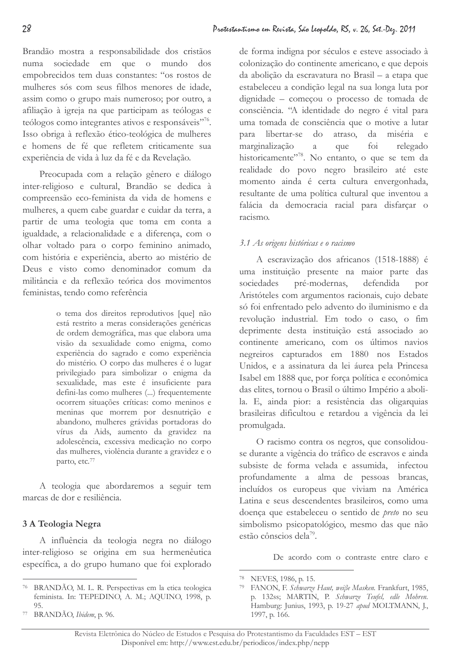Brandão mostra a responsabilidade dos cristãos sociedade em que o mundo numa dos empobrecidos tem duas constantes: "os rostos de mulheres sós com seus filhos menores de idade, assim como o grupo mais numeroso; por outro, a afiliação à igreja na que participam as teólogas e teólogos como integrantes ativos e responsáveis"<sup>76</sup>. Isso obriga à reflexão ético-teológica de mulheres e homens de fé que refletem criticamente sua experiência de vida à luz da fé e da Revelação.

Preocupada com a relação gênero e diálogo inter-religioso e cultural, Brandão se dedica à compreensão eco-feminista da vida de homens e mulheres, a quem cabe guardar e cuidar da terra, a partir de uma teologia que toma em conta a igualdade, a relacionalidade e a diferença, com o olhar voltado para o corpo feminino animado, com história e experiência, aberto ao mistério de Deus e visto como denominador comum da militância e da reflexão teórica dos movimentos feministas, tendo como referência

> o tema dos direitos reprodutivos [que] não está restrito a meras considerações genéricas de ordem demográfica, mas que elabora uma visão da sexualidade como enigma, como experiência do sagrado e como experiência do mistério. O corpo das mulheres é o lugar privilegiado para simbolizar o enigma da sexualidade, mas este é insuficiente para defini-las como mulheres (...) frequentemente ocorrem situações críticas: como meninos e meninas que morrem por desnutrição e abandono, mulheres grávidas portadoras do vírus da Aids, aumento da gravidez na adolescência, excessiva medicação no corpo das mulheres, violência durante a gravidez e o parto, etc.77

A teologia que abordaremos a seguir tem marcas de dor e resiliência.

# 3 A Teologia Negra

A influência da teologia negra no diálogo inter-religioso se origina em sua hermenêutica específica, a do grupo humano que foi explorado

de forma indigna por séculos e esteve associado à colonização do continente americano, e que depois da abolição da escravatura no Brasil - a etapa que estabeleceu a condição legal na sua longa luta por dignidade - começou o processo de tomada de consciência. "A identidade do negro é vital para uma tomada de consciência que o motive a lutar para libertar-se do atraso, da miséria e marginalização que  $f_{01}$ relegado  $\alpha$ historicamente"<sup>78</sup>. No entanto, o que se tem da realidade do povo negro brasileiro até este momento ainda é certa cultura envergonhada, resultante de uma política cultural que inventou a falácia da democracia racial para disfarcar o racismo.

## 3.1 As origens históricas e o racismo

A escravização dos africanos (1518-1888) é uma instituição presente na maior parte das sociedades pré-modernas, defendida por Aristóteles com argumentos racionais, cujo debate só foi enfrentado pelo advento do iluminismo e da revolução industrial. Em todo o caso, o fim deprimente desta instituição está associado ao continente americano, com os últimos navios negreiros capturados em 1880 nos Estados Unidos, e a assinatura da lei áurea pela Princesa Isabel em 1888 que, por força política e econômica das elites, tornou o Brasil o último Império a abolila. E, ainda pior: a resistência das oligarquias brasileiras dificultou e retardou a vigência da lei promulgada.

O racismo contra os negros, que consolidouse durante a vigência do tráfico de escravos e ainda subsiste de forma velada e assumida, infectou profundamente a alma de pessoas brancas, incluídos os europeus que viviam na América Latina e seus descendentes brasileiros, como uma doença que estabeleceu o sentido de *preto* no seu simbolismo psicopatológico, mesmo das que não estão cônscios dela<sup>79</sup>.

De acordo com o contraste entre claro e

<sup>76</sup> BRANDÃO, M. L. R. Perspectivas em la etica teologica feminista. In: TEPEDINO, A. M.; AQUINO, 1998, p. 95.

 $77\,$ BRANDÃO, Ibidem, p. 96.

<sup>&</sup>lt;sup>78</sup> NEVES, 1986, p. 15.

<sup>&</sup>lt;sup>79</sup> FANON, F. Schwarze Haut, weiße Masken. Frankfurt, 1985, p. 132ss; MARTIN, P. Schwarze Teufel, edle Mohren. Hamburg: Junius, 1993, p. 19-27 apud MOLTMANN, J., 1997, p. 166.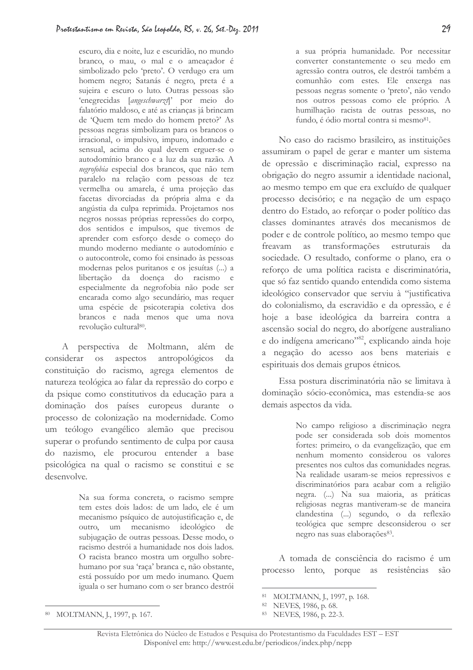escuro, dia e noite, luz e escuridão, no mundo branco, o mau, o mal e o ameaçador é simbolizado pelo 'preto'. O verdugo era um homem negro; Satanás é negro, preta é a sujeira e escuro o luto. Outras pessoas são 'enegrecidas [angeschwarzt]' por meio do falatório maldoso, e até as crianças já brincam de 'Quem tem medo do homem preto?' As pessoas negras simbolizam para os brancos o irracional, o impulsivo, impuro, indomado e sensual, acima do qual devem erguer-se o autodomínio branco e a luz da sua razão. A negrofobia especial dos brancos, que não tem paralelo na relação com pessoas de tez vermelha ou amarela, é uma projeção das facetas divorciadas da própria alma e da angústia da culpa reprimida. Projetamos nos negros nossas próprias repressões do corpo, dos sentidos e impulsos, que tivemos de aprender com esforço desde o começo do mundo moderno mediante o autodomínio e o autocontrole, como foi ensinado às pessoas modernas pelos puritanos e os jesuítas (...) a libertação da doença do racismo e especialmente da negrofobia não pode ser encarada como algo secundário, mas requer uma espécie de psicoterapia coletiva dos brancos e nada menos que uma nova revolução cultural<sup>80</sup>.

A perspectiva de Moltmann, além de considerar os aspectos antropológicos da constituição do racismo, agrega elementos de natureza teológica ao falar da repressão do corpo e da psique como constitutivos da educação para a dominação dos países europeus durante o processo de colonização na modernidade. Como um teólogo evangélico alemão que precisou superar o profundo sentimento de culpa por causa do nazismo, ele procurou entender a base psicológica na qual o racismo se constitui e se desenvolve.

> Na sua forma concreta, o racismo sempre tem estes dois lados: de um lado, ele é um mecanismo psíquico de autojustificação e, de outro, um mecanismo ideológico de subjugação de outras pessoas. Desse modo, o racismo destrói a humanidade nos dois lados. O racista branco mostra um orgulho sobrehumano por sua 'raça' branca e, não obstante, está possuído por um medo inumano. Quem iguala o ser humano com o ser branco destrói

a sua própria humanidade. Por necessitar converter constantemente o seu medo em agressão contra outros, ele destrói também a comunhão com estes. Ele enxerga nas pessoas negras somente o 'preto', não vendo nos outros pessoas como ele próprio. A humilhação racista de outras pessoas, no fundo, é ódio mortal contra si mesmo<sup>81</sup>.

No caso do racismo brasileiro, as instituições assumiram o papel de gerar e manter um sistema de opressão e discriminação racial, expresso na obrigação do negro assumir a identidade nacional, ao mesmo tempo em que era excluído de qualquer processo decisório; e na negação de um espaço dentro do Estado, ao reforçar o poder político das classes dominantes através dos mecanismos de poder e de controle político, ao mesmo tempo que freavam as transformações estruturais sociedade. O resultado, conforme o plano, era o reforço de uma política racista e discriminatória, que só faz sentido quando entendida como sistema ideológico conservador que serviu à "justificativa do colonialismo, da escravidão e da opressão, e é hoje a base ideológica da barreira contra a ascensão social do negro, do aborígene australiano e do indígena americano"<sup>82</sup>, explicando ainda hoje a negação do acesso aos bens materiais e espirituais dos demais grupos étnicos.

Essa postura discriminatória não se limitava à dominação sócio-econômica, mas estendia-se aos demais aspectos da vida.

> No campo religioso a discriminação negra pode ser considerada sob dois momentos fortes: primeiro, o da evangelização, que em nenhum momento considerou os valores presentes nos cultos das comunidades negras. Na realidade usaram-se meios repressivos e discriminatórios para acabar com a religião negra. (...) Na sua maioria, as práticas religiosas negras mantiveram-se de maneira clandestina (...) segundo, o da reflexão teológica que sempre desconsiderou o ser negro nas suas elaborações<sup>83</sup>.

A tomada de consciência do racismo é um processo lento, porque as resistências são

<sup>80</sup> MOLTMANN, J., 1997, p. 167.

<sup>81</sup> MOLTMANN, J., 1997, p. 168.

<sup>82</sup> NEVES, 1986, p. 68.

<sup>83</sup> NEVES, 1986, p. 22-3.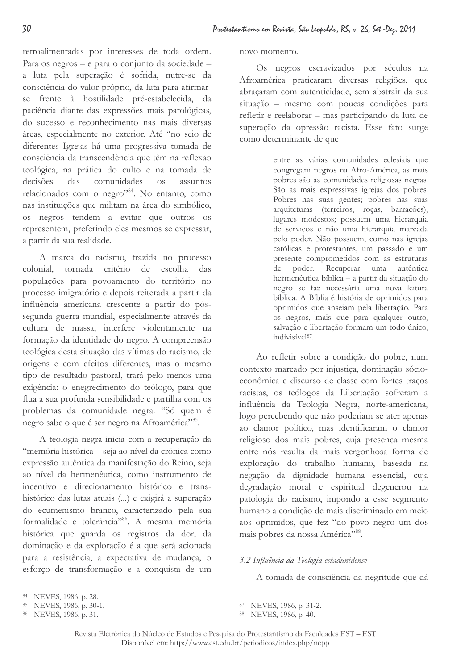retroalimentadas por interesses de toda ordem. Para os negros – e para o conjunto da sociedade – a luta pela superação é sofrida, nutre-se da consciência do valor próprio, da luta para afirmarse frente à hostilidade pré-estabelecida, da paciência diante das expressões mais patológicas, do sucesso e reconhecimento nas mais diversas áreas, especialmente no exterior. Até "no seio de diferentes Igrejas há uma progressiva tomada de consciência da transcendência que têm na reflexão teológica, na prática do culto e na tomada de decisões das comunidades os assuntos relacionados com o negro"84. No entanto, como nas instituições que militam na área do simbólico, os negros tendem a evitar que outros os representem, preferindo eles mesmos se expressar, a partir da sua realidade.

A marca do racismo, trazida no processo colonial, tornada critério de escolha das populações para povoamento do território no processo imigratório e depois reiterada a partir da influência americana crescente a partir do póssegunda guerra mundial, especialmente através da cultura de massa, interfere violentamente na formação da identidade do negro. A compreensão teológica desta situação das vítimas do racismo, de origens e com efeitos diferentes, mas o mesmo tipo de resultado pastoral, trará pelo menos uma exigência: o enegrecimento do teólogo, para que flua a sua profunda sensibilidade e partilha com os problemas da comunidade negra. "Só quem é negro sabe o que é ser negro na Afroamérica"85.

A teologia negra inicia com a recuperação da "memória histórica – seja ao nível da crônica como expressão autêntica da manifestação do Reino, seja ao nível da hermenêutica, como instrumento de incentivo e direcionamento histórico e transhistórico das lutas atuais (...) e exigirá a superação do ecumenismo branco, caracterizado pela sua formalidade e tolerância"86. A mesma memória histórica que guarda os registros da dor, da dominação e da exploração é a que será acionada para a resistência, a expectativa de mudança, o esforço de transformação e a conquista de um

Os negros escravizados por séculos na Afroamérica praticaram diversas religiões, que abracaram com autenticidade, sem abstrair da sua situação - mesmo com poucas condições para refletir e reelaborar – mas participando da luta de superação da opressão racista. Esse fato surge como determinante de que

> entre as várias comunidades eclesiais que congregam negros na Afro-América, as mais pobres são as comunidades religiosas negras. São as mais expressivas igrejas dos pobres. Pobres nas suas gentes; pobres nas suas arquiteturas (terreiros, roças, barracões), lugares modestos; possuem uma hierarquia de serviços e não uma hierarquia marcada pelo poder. Não possuem, como nas igrejas católicas e protestantes, um passado e um presente comprometidos com as estruturas de poder. Recuperar uma autêntica hermenêutica bíblica – a partir da situação do negro se faz necessária uma nova leitura bíblica. A Bíblia é história de oprimidos para oprimidos que anseiam pela libertação. Para os negros, mais que para qualquer outro, salvação e libertação formam um todo único, indivisível<sup>87</sup>.

Ao refletir sobre a condição do pobre, num contexto marcado por injustiça, dominação sócioeconômica e discurso de classe com fortes traços racistas, os teólogos da Libertação sofreram a influência da Teologia Negra, norte-americana, logo percebendo que não poderiam se ater apenas ao clamor político, mas identificaram o clamor religioso dos mais pobres, cuja presença mesma entre nós resulta da mais vergonhosa forma de exploração do trabalho humano, baseada na negação da dignidade humana essencial, cuja degradação moral e espiritual degenerou na patologia do racismo, impondo a esse segmento humano a condição de mais discriminado em meio aos oprimidos, que fez "do povo negro um dos mais pobres da nossa América",88

## 3.2 Influência da Teologia estadunidense

A tomada de consciência da negritude que dá

novo momento.

<sup>84</sup> NEVES, 1986, p. 28.

<sup>85</sup> NEVES, 1986, p. 30-1.

<sup>86</sup> NEVES, 1986, p. 31.

NEVES, 1986, p. 31-2.

<sup>88</sup> NEVES, 1986, p. 40.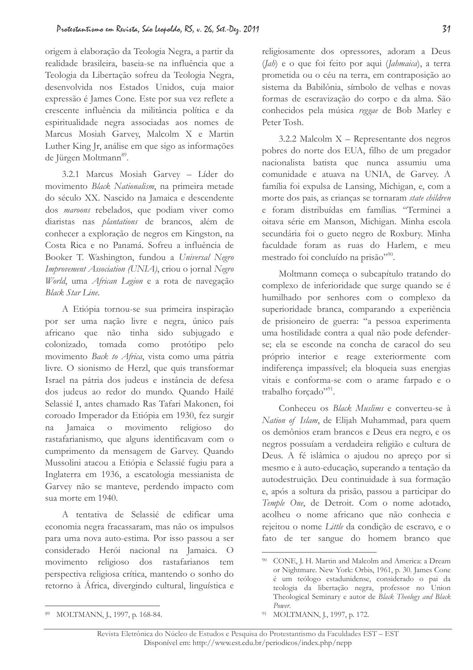origem à elaboração da Teologia Negra, a partir da realidade brasileira, baseia-se na influência que a Teologia da Libertação sofreu da Teologia Negra, desenvolvida nos Estados Unidos, cuja maior expressão é James Cone. Este por sua vez reflete a crescente influência da militância política e da espiritualidade negra associadas aos nomes de Marcus Mosiah Garvey, Malcolm X e Martin Luther King Jr, análise em que sigo as informações de Jürgen Moltmann<sup>89</sup>.

3.2.1 Marcus Mosiah Garvey - Líder do movimento Black Nationalism, na primeira metade do século XX. Nascido na Jamaica e descendente dos *maroons* rebelados, que podiam viver como diaristas nas *plantations* de brancos, além de conhecer a exploração de negros em Kingston, na Costa Rica e no Panamá. Sofreu a influência de Booker T. Washington, fundou a Universal Negro Improvement Association (UNIA), criou o jornal Negro World, uma African Legion e a rota de navegação Black Star Line.

A Etiópia tornou-se sua primeira inspiração por ser uma nação livre e negra, único país africano que não tinha sido subjugado e tomada colonizado. como protótipo pelo movimento Back to Africa, vista como uma pátria livre. O sionismo de Herzl, que quis transformar Israel na pátria dos judeus e instância de defesa dos judeus ao redor do mundo. Quando Hailé Selassié I, antes chamado Ras Tafari Makonen, foi coroado Imperador da Etiópia em 1930, fez surgir Jamaica movimento religioso  $\overline{O}$ do na rastafarianismo, que alguns identificavam com o cumprimento da mensagem de Garvey. Quando Mussolini atacou a Etiópia e Selassié fugiu para a Inglaterra em 1936, a escatologia messianista de Garvey não se manteve, perdendo impacto com sua morte em 1940.

A tentativa de Selassié de edificar uma economia negra fracassaram, mas não os impulsos para uma nova auto-estima. Por isso passou a ser considerado Herói nacional na Jamaica. O movimento religioso dos rastafarianos tem perspectiva religiosa crítica, mantendo o sonho do retorno à África, divergindo cultural, linguística e

religiosamente dos opressores, adoram a Deus (*Jab*) e o que foi feito por aqui (*Jahmaica*), a terra prometida ou o céu na terra, em contraposição ao sistema da Babilônia, símbolo de velhas e novas formas de escravização do corpo e da alma. São conhecidos pela música reggae de Bob Marley e Peter Tosh.

3.2.2 Malcolm  $X$  – Representante dos negros pobres do norte dos EUA, filho de um pregador nacionalista batista que nunca assumiu uma comunidade e atuava na UNIA, de Garvey. A família foi expulsa de Lansing, Michigan, e, com a morte dos pais, as crianças se tornaram state children e foram distribuídas em famílias. "Terminei a oitava série em Manson, Michigan. Minha escola secundária foi o gueto negro de Roxbury. Minha faculdade foram as ruas do Harlem, e meu mestrado foi concluído na prisão"<sup>90</sup>.

Moltmann começa o subcapítulo tratando do complexo de inferioridade que surge quando se é humilhado por senhores com o complexo da superioridade branca, comparando a experiência de prisioneiro de guerra: "a pessoa experimenta uma hostilidade contra a qual não pode defenderse: ela se esconde na concha de caracol do seu próprio interior e reage exteriormente com indiferença impassível; ela bloqueia suas energias vitais e conforma-se com o arame farpado e o trabalho forçado"<sup>91</sup>.

Conheceu os Black Muslims e converteu-se à Nation of Islam, de Elijah Muhammad, para quem os demônios eram brancos e Deus era negro, e os negros possuíam a verdadeira religião e cultura de Deus. A fé islâmica o ajudou no apreço por si mesmo e à auto-educação, superando a tentação da autodestruição. Deu continuidade à sua formação e, após a soltura da prisão, passou a participar do Temple One, de Detroit. Com o nome adotado, acolheu o nome africano que não conhecia e rejeitou o nome Little da condição de escravo, e o fato de ter sangue do homem branco que

<sup>89</sup> MOLTMANN, J., 1997, p. 168-84.

<sup>&</sup>lt;sup>90</sup> CONE, J. H. Martin and Malcolm and America: a Dream or Nightmare. New York: Orbis, 1961, p. 30. James Cone é um teólogo estadunidense, considerado o pai da teologia da libertação negra, professor no Union Theological Seminary e autor de Black Theology and Black Power.

<sup>&</sup>lt;sup>91</sup> MOLTMANN, J., 1997, p. 172.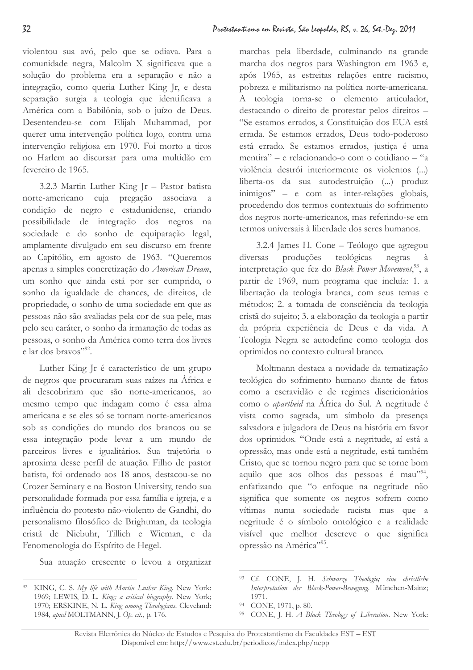violentou sua avó, pelo que se odiava. Para a comunidade negra, Malcolm X significava que a solução do problema era a separação e não a integração, como queria Luther King Jr, e desta separação surgia a teologia que identificava a América com a Babilônia, sob o juízo de Deus. Desentendeu-se com Elijah Muhammad, por querer uma intervenção política logo, contra uma intervenção religiosa em 1970. Foi morto a tiros no Harlem ao discursar para uma multidão em fevereiro de 1965.

3.2.3 Martin Luther King Jr - Pastor batista norte-americano cuja pregação associava a condição de negro e estadunidense, criando possibilidade de integração dos negros na sociedade e do sonho de equiparação legal, amplamente divulgado em seu discurso em frente ao Capitólio, em agosto de 1963. "Oueremos apenas a simples concretização do American Dream, um sonho que ainda está por ser cumprido, o sonho da igualdade de chances, de direitos, de propriedade, o sonho de uma sociedade em que as pessoas não são avaliadas pela cor de sua pele, mas pelo seu caráter, o sonho da irmanação de todas as pessoas, o sonho da América como terra dos livres e lar dos bravos"<sup>92</sup>.

Luther King Jr é característico de um grupo de negros que procuraram suas raízes na África e ali descobriram que são norte-americanos, ao mesmo tempo que indagam como é essa alma americana e se eles só se tornam norte-americanos sob as condições do mundo dos brancos ou se essa integração pode levar a um mundo de parceiros livres e igualitários. Sua trajetória o aproxima desse perfil de atuação. Filho de pastor batista, foi ordenado aos 18 anos, destacou-se no Crozer Seminary e na Boston University, tendo sua personalidade formada por essa família e igreja, e a influência do protesto não-violento de Gandhi, do personalismo filosófico de Brightman, da teologia cristã de Niebuhr, Tillich e Wieman, e da Fenomenologia do Espírito de Hegel.

Sua atuação crescente o levou a organizar

marchas pela liberdade, culminando na grande marcha dos negros para Washington em 1963 e, após 1965, as estreitas relações entre racismo, pobreza e militarismo na política norte-americana. A teologia torna-se o elemento articulador, destacando o direito de protestar pelos direitos -"Se estamos errados, a Constituição dos EUA está errada. Se estamos errados, Deus todo-poderoso está errado. Se estamos errados, justica é uma mentira" – e relacionando-o com o cotidiano – "a violência destrói interiormente os violentos (...) liberta-os da sua autodestruição (...) produz inimigos" - e com as inter-relações globais, procedendo dos termos contextuais do sofrimento dos negros norte-americanos, mas referindo-se em termos universais à liberdade dos seres humanos.

3.2.4 James H. Cone – Teólogo que agregou diversas produções teológicas negras à interpretação que fez do Black Power Movement,<sup>93</sup>, a partir de 1969, num programa que incluía: 1. a libertação da teologia branca, com seus temas e métodos; 2. a tomada de consciência da teologia cristã do sujeito; 3. a elaboração da teologia a partir da própria experiência de Deus e da vida. A Teologia Negra se autodefine como teologia dos oprimidos no contexto cultural branco.

Moltmann destaca a novidade da tematização teológica do sofrimento humano diante de fatos como a escravidão e de regimes discricionários como o *apartheid* na África do Sul. A negritude é vista como sagrada, um símbolo da presença salvadora e julgadora de Deus na história em favor dos oprimidos. "Onde está a negritude, aí está a opressão, mas onde está a negritude, está também Cristo, que se tornou negro para que se torne bom aquilo que aos olhos das pessoas é mau"<sup>94</sup>, enfatizando que "o enfoque na negritude não significa que somente os negros sofrem como vítimas numa sociedade racista mas que a negritude é o símbolo ontológico e a realidade visível que melhor descreve o que significa opressão na América"<sup>95</sup>.

KING, C. S. My life with Martin Luther King. New York: 1969; LEWIS, D. L. King; a critical biography. New York; 1970; ERSKINE, N. L. King among Theologians. Cleveland: 1984, apud MOLTMANN, J. Op. cit., p. 176.

<sup>&</sup>lt;sup>93</sup> Cf. CONE, J. H. Schwarze Theologie; eine christliche Interpretation der Black-Power-Bewegung. München-Mainz;  $1971.$ 

<sup>94</sup> CONE, 1971, p. 80.

<sup>95</sup> CONE, J. H. A Black Theology of Liberation. New York: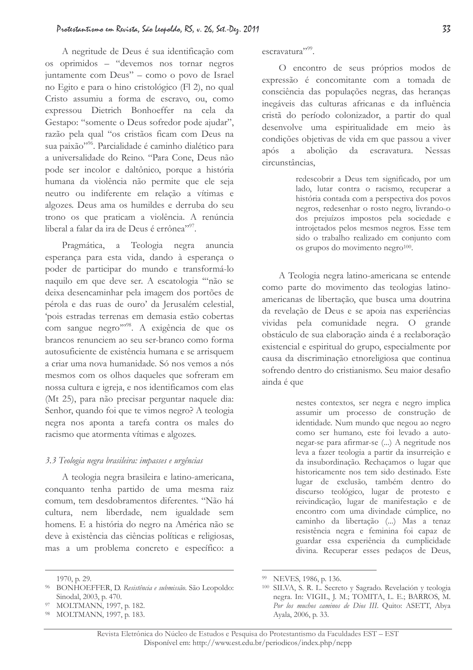A negritude de Deus é sua identificação com os oprimidos - "devemos nos tornar negros juntamente com Deus" - como o povo de Israel no Egito e para o hino cristológico (Fl 2), no qual Cristo assumiu a forma de escravo, ou, como expressou Dietrich Bonhoeffer na cela da Gestapo: "somente o Deus sofredor pode ajudar", razão pela qual "os cristãos ficam com Deus na sua paixão"<sup>96</sup>. Parcialidade é caminho dialético para a universalidade do Reino. "Para Cone, Deus não pode ser incolor e daltônico, porque a história humana da violência não permite que ele seja neutro ou indiferente em relação a vítimas e algozes. Deus ama os humildes e derruba do seu trono os que praticam a violência. A renúncia liberal a falar da ira de Deus é errônea"<sup>97</sup>.

Pragmática, a Teologia negra anuncia esperança para esta vida, dando à esperança o poder de participar do mundo e transformá-lo naquilo em que deve ser. A escatologia "não se deixa desencaminhar pela imagem dos portões de pérola e das ruas de ouro' da Jerusalém celestial, 'pois estradas terrenas em demasia estão cobertas com sangue negro"<sup>98</sup>. A exigência de que os brancos renunciem ao seu ser-branco como forma autosuficiente de existência humana e se arrisquem a criar uma nova humanidade. Só nos vemos a nós mesmos com os olhos daqueles que sofreram em nossa cultura e igreja, e nos identificamos com elas (Mt 25), para não precisar perguntar naquele dia: Senhor, quando foi que te vimos negro? A teologia negra nos aponta a tarefa contra os males do racismo que atormenta vítimas e algozes.

### 3.3 Teologia negra brasileira: impasses e urgências

A teologia negra brasileira e latino-americana, conquanto tenha partido de uma mesma raiz comum, tem desdobramentos diferentes. "Não há cultura, nem liberdade, nem igualdade sem homens. E a história do negro na América não se deve à existência das ciências políticas e religiosas, mas a um problema concreto e específico: a escravatura"?

O encontro de seus próprios modos de expressão é concomitante com a tomada de consciência das populações negras, das heranças inegáveis das culturas africanas e da influência cristã do período colonizador, a partir do qual desenvolve uma espiritualidade em meio às condições objetivas de vida em que passou a viver após a abolição da escravatura. Nessas circunstâncias.

> redescobrir a Deus tem significado, por um lado, lutar contra o racismo, recuperar a história contada com a perspectiva dos povos negros, redesenhar o rosto negro, livrando-o dos prejuízos impostos pela sociedade e introjetados pelos mesmos negros. Esse tem sido o trabalho realizado em conjunto com os grupos do movimento negro<sup>100</sup>.

A Teologia negra latino-americana se entende como parte do movimento das teologias latinoamericanas de libertação, que busca uma doutrina da revelação de Deus e se apoia nas experiências vividas pela comunidade negra. O grande obstáculo de sua elaboração ainda é a reelaboração existencial e espiritual do grupo, especialmente por causa da discriminação etnoreligiosa que continua sofrendo dentro do cristianismo. Seu maior desafio ainda é que

> nestes contextos, ser negra e negro implica assumir um processo de construção de identidade. Num mundo que negou ao negro como ser humano, este foi levado a autonegar-se para afirmar-se (...) A negritude nos leva a fazer teologia a partir da insurreição e da insubordinação. Rechaçamos o lugar que historicamente nos tem sido destinado. Este lugar de exclusão, também dentro do discurso teológico, lugar de protesto e reivindicação, lugar de manifestação e de encontro com uma divindade cúmplice, no caminho da libertação ( ... ) Mas a tenaz resistência negra e feminina foi capaz de guardar essa experiência da cumplicidade divina. Recuperar esses pedaços de Deus,

<sup>1970,</sup> p. 29.

<sup>&</sup>lt;sup>96</sup> BONHOEFFER, D. Resistência e submissão. São Leopoldo: Sinodal, 2003, p. 470.

<sup>&</sup>lt;sup>97</sup> MOLTMANN, 1997, p. 182.

<sup>&</sup>lt;sup>98</sup> MOLTMANN, 1997, p. 183.

<sup>&</sup>lt;sup>99</sup> NEVES, 1986, p. 136.

<sup>&</sup>lt;sup>100</sup> SILVA, S. R. L. Secreto y Sagrado. Revelación y teologia negra. In: VIGIL, J. M.; TOMITA, L. E.; BARROS, M. Por los muchos caminos de Dios III. Quito: ASETT, Abya Ayala, 2006, p. 33.

Revista Eletrônica do Núcleo de Estudos e Pesquisa do Protestantismo da Faculdades EST - EST Disponível em: http://www.est.edu.br/periodicos/index.php/nepp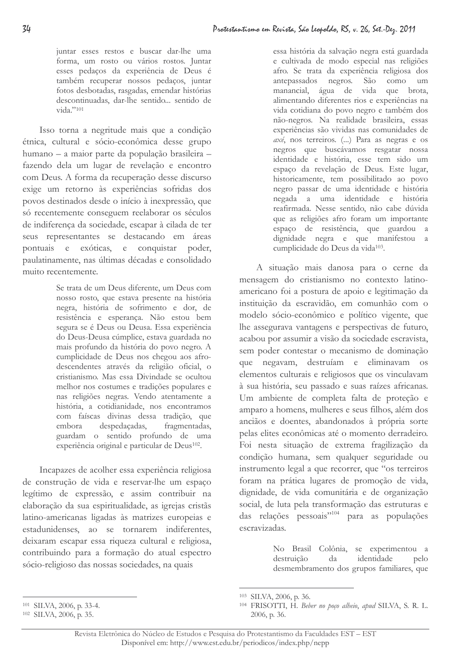juntar esses restos e buscar dar-lhe uma forma, um rosto ou vários rostos. Juntar esses pedaços da experiência de Deus é também recuperar nossos pedaços, juntar fotos desbotadas, rasgadas, emendar histórias descontinuadas, dar-lhe sentido... sentido de  $vida."101$ 

Isso torna a negritude mais que a condição étnica, cultural e sócio-econômica desse grupo humano - a maior parte da população brasileira fazendo dela um lugar de revelação e encontro com Deus. A forma da recuperação desse discurso exige um retorno às experiências sofridas dos povos destinados desde o início à inexpressão, que só recentemente conseguem reelaborar os séculos de indiferença da sociedade, escapar à cilada de ter seus representantes se destacando em áreas pontuais e exóticas, e conquistar poder, paulatinamente, nas últimas décadas e consolidado muito recentemente.

> Se trata de um Deus diferente, um Deus com nosso rosto, que estava presente na história negra, história de sofrimento e dor, de resistência e esperança. Não estou bem segura se é Deus ou Deusa. Essa experiência do Deus-Deusa cúmplice, estava guardada no mais profundo da história do povo negro. A cumplicidade de Deus nos chegou aos afrodescendentes através da religião oficial, o cristianismo. Mas essa Divindade se ocultou melhor nos costumes e tradições populares e nas religiões negras. Vendo atentamente a história, a cotidianidade, nos encontramos com faíscas divinas dessa tradição, que despedaçadas, embora fragmentadas, guardam o sentido profundo de uma experiência original e particular de Deus<sup>102</sup>.

Incapazes de acolher essa experiência religiosa de construção de vida e reservar-lhe um espaço legítimo de expressão, e assim contribuir na elaboração da sua espiritualidade, as igrejas cristãs latino-americanas ligadas às matrizes europeias e estadunidenses, ao se tornarem indiferentes, deixaram escapar essa riqueza cultural e religiosa, contribuindo para a formação do atual espectro sócio-religioso das nossas sociedades, na quais

essa história da salvação negra está guardada e cultivada de modo especial nas religiões afro. Se trata da experiência religiosa dos antepassados negros. São como um manancial, água de vida que brota, alimentando diferentes rios e experiências na vida cotidiana do povo negro e também dos não-negros. Na realidade brasileira, essas experiências são vividas nas comunidades de axé, nos terreiros. (...) Para as negras e os negros que buscávamos resgatar nossa identidade e história, esse tem sido um espaço da revelação de Deus. Este lugar, historicamente, tem possibilitado ao povo negro passar de uma identidade e história negada a uma identidade e história reafirmada. Nesse sentido, não cabe dúvida que as religiões afro foram um importante espaço de resistência, que guardou a dignidade negra e que manifestou a cumplicidade do Deus da vida<sup>103</sup>.

A situação mais danosa para o cerne da mensagem do cristianismo no contexto latinoamericano foi a postura de apoio e legitimação da instituição da escravidão, em comunhão com o modelo sócio-econômico e político vigente, que lhe assegurava vantagens e perspectivas de futuro, acabou por assumir a visão da sociedade escravista, sem poder contestar o mecanismo de dominação que negavam, destruíam e eliminavam os elementos culturais e religiosos que os vinculavam à sua história, seu passado e suas raízes africanas. Um ambiente de completa falta de proteção e amparo a homens, mulheres e seus filhos, além dos anciãos e doentes, abandonados à própria sorte pelas elites econômicas até o momento derradeiro. Foi nesta situação de extrema fragilização da condição humana, sem qualquer seguridade ou instrumento legal a que recorrer, que "os terreiros" foram na prática lugares de promoção de vida, dignidade, de vida comunitária e de organização social, de luta pela transformação das estruturas e das relações pessoais"<sup>104</sup> para as populações escravizadas.

> No Brasil Colônia, se experimentou a destruição da identidade pelo desmembramento dos grupos familiares, que

<sup>&</sup>lt;sup>103</sup> SILVA, 2006, p. 36.

<sup>&</sup>lt;sup>104</sup> FRISOTTI, H. Beber no poço alheio, apud SILVA, S. R. L. 2006, p. 36.

<sup>&</sup>lt;sup>101</sup> SILVA, 2006, p. 33-4.

 $102$  SILVA, 2006, p. 35.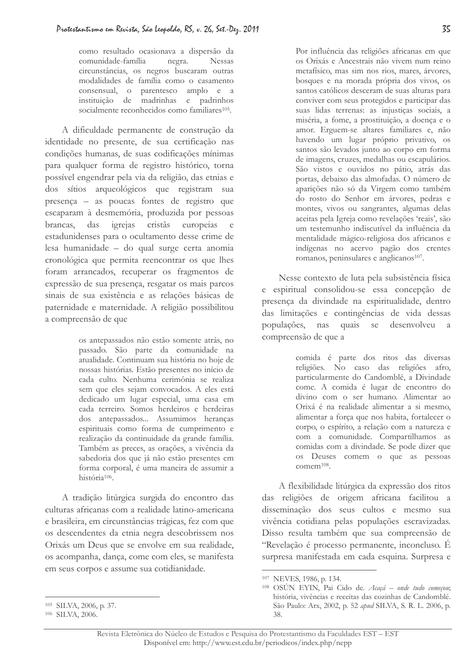como resultado ocasionava a dispersão da comunidade-família negra. Nessas circunstâncias, os negros buscaram outras modalidades de família como o casamento consensual, o parentesco amplo e a instituição de madrinhas e padrinhos socialmente reconhecidos como familiares<sup>105</sup>.

A dificuldade permanente de construção da identidade no presente, de sua certificação nas condições humanas, de suas codificações mínimas para qualquer forma de registro histórico, torna possível engendrar pela via da religião, das etnias e dos sítios arqueológicos que registram sua presença - as poucas fontes de registro que escaparam à desmemória, produzida por pessoas igrejas cristãs europeias brancas. das  $\epsilon$ estadunidenses para o ocultamento desse crime de lesa humanidade - do qual surge certa anomia cronológica que permita reencontrar os que lhes foram arrancados, recuperar os fragmentos de expressão de sua presença, resgatar os mais parcos sinais de sua existência e as relações básicas de paternidade e maternidade. A religião possibilitou a compreensão de que

> os antepassados não estão somente atrás, no passado. São parte da comunidade na atualidade. Continuam sua história no hoje de nossas histórias. Estão presentes no início de cada culto. Nenhuma cerimônia se realiza sem que eles sejam convocados. A eles está dedicado um lugar especial, uma casa em cada terreiro. Somos herdeiros e herdeiras dos antepassados... Assumimos heranças espirituais como forma de cumprimento e realização da continuidade da grande família. Também as preces, as orações, a vivência da sabedoria dos que já não estão presentes em forma corporal, é uma maneira de assumir a história<sup>106</sup>.

A tradição litúrgica surgida do encontro das culturas africanas com a realidade latino-americana e brasileira, em circunstâncias trágicas, fez com que os descendentes da etnia negra descobrissem nos Orixás um Deus que se envolve em sua realidade, os acompanha, dança, come com eles, se manifesta em seus corpos e assume sua cotidianidade.

Nesse contexto de luta pela subsistência física e espiritual consolidou-se essa concepção de presença da divindade na espiritualidade, dentro das limitações e contingências de vida dessas populações, nas quais se desenvolveu a compreensão de que a

> comida é parte dos ritos das diversas religiões. No caso das religiões afro, particularmente do Candomblé, a Divindade come. A comida é lugar de encontro do divino com o ser humano. Alimentar ao Orixá é na realidade alimentar a si mesmo, alimentar a força que nos habita, fortalecer o corpo, o espírito, a relação com a natureza e com a comunidade. Compartilhamos as comidas com a divindade. Se pode dizer que os Deuses comem o que as pessoas comem<sup>108</sup>.

A flexibilidade litúrgica da expressão dos ritos das religiões de origem africana facilitou a disseminação dos seus cultos e mesmo sua vivência cotidiana pelas populações escravizadas. Disso resulta também que sua compreensão de "Revelação é processo permanente, inconcluso. É surpresa manifestada em cada esquina. Surpresa e

Por influência das religiões africanas em que os Orixás e Ancestrais não vivem num reino metafísico, mas sim nos rios, mares, árvores, bosques e na morada própria dos vivos, os santos católicos desceram de suas alturas para conviver com seus protegidos e participar das suas lidas terrenas: as injustiças sociais, a miséria, a fome, a prostituição, a doença e o amor. Erguem-se altares familiares e, não havendo um lugar próprio privativo, os santos são levados junto ao corpo em forma de imagens, cruzes, medalhas ou escapulários. São vistos e ouvidos no pátio, atrás das portas, debaixo das almofadas. O número de aparições não só da Virgem como também do rosto do Senhor em árvores, pedras e montes, vivos ou sangrantes, algumas delas aceitas pela Igreja como revelações 'reais', são um testemunho indiscutível da influência da mentalidade mágico-religiosa dos africanos e indígenas no acervo pagão dos crentes romanos, peninsulares e anglicanos<sup>107</sup>.

<sup>&</sup>lt;sup>107</sup> NEVES, 1986, p. 134.

<sup>&</sup>lt;sup>108</sup> OSÚN EYIN, Pai Cido de. Acaçá - onde tudo começou; história, vivências e receitas das cozinhas de Candomblé. São Paulo: Arx, 2002, p. 52 apud SILVA, S. R. L. 2006, p. 38.

<sup>&</sup>lt;sup>105</sup> SILVA, 2006, p. 37.

<sup>&</sup>lt;sup>106</sup> SILVA, 2006.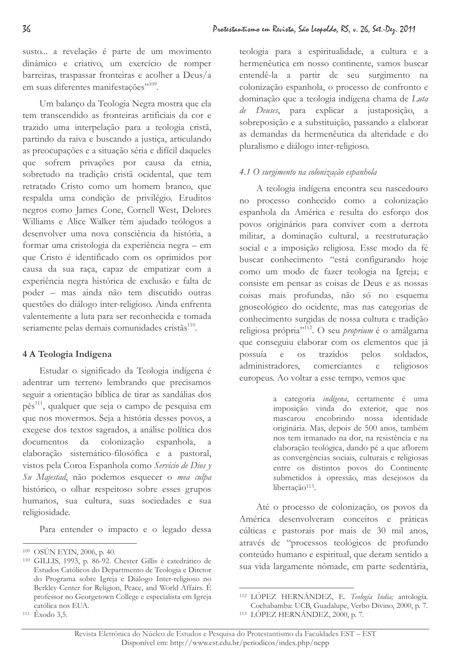susto... a revelação é parte de um movimento dinâmico e criativo, um exercício de romper barreiras, traspassar fronteiras e acolher a Deus/a em suas diferentes manifestações"<sup>109</sup>.

Um balanco da Teologia Negra mostra que ela tem transcendido as fronteiras artificiais da cor e trazido uma interpelação para a teologia cristã, partindo da raiva e buscando a justiça, articulando as preocupações e a situação séria e difícil daqueles que sofrem privações por causa da etnia, sobretudo na tradição cristã ocidental, que tem retratado Cristo como um homem branco, que respalda uma condição de privilégio. Eruditos negros como James Cone, Cornell West, Delores Williams e Alice Walker têm ajudado teólogos a desenvolver uma nova consciência da história, a formar uma cristologia da experiência negra - em que Cristo é identificado com os oprimidos por causa da sua raça, capaz de empatizar com a experiência negra histórica de exclusão e falta de poder - mas ainda não tem discutido outras questões do diálogo inter-religioso. Ainda enfrenta valentemente a luta para ser reconhecida e tomada seriamente pelas demais comunidades cristãs<sup>110</sup>.

# 4 A Teologia Indígena

Estudar o significado da Teologia indígena é adentrar um terreno lembrando que precisamos seguir a orientação bíblica de tirar as sandálias dos pés<sup>111</sup>, qualquer que seja o campo de pesquisa em que nos movermos. Seja a história desses povos, a exegese dos textos sagrados, a análise política dos documentos da colonização espanhola, elaboração sistemático-filosófica e a pastoral, vistos pela Coroa Espanhola como Servicio de Dios y Su Majestad, não podemos esquecer o mea culpa histórico, o olhar respeitoso sobre esses grupos humanos, sua cultura, suas sociedades e sua religiosidade.

Para entender o impacto e o legado dessa

teologia para a espiritualidade, a cultura e a hermenêutica em nosso continente, vamos buscar entendê-la a partir de seu surgimento na colonização espanhola, o processo de confronto e dominação que a teologia indígena chama de Luta de Deuses, para explicar a justaposição, a sobreposição e a substituição, passando a elaborar as demandas da hermenêutica da alteridade e do pluralismo e diálogo inter-religioso.

# 4.1 O surgimento na colonização espanhola

A teologia indígena encontra seu nascedouro no processo conhecido como a colonização espanhola da América e resulta do esforço dos povos originários para conviver com a derrota militar, a dominação cultural, a reestruturação social e a imposição religiosa. Esse modo da fé buscar conhecimento "está configurando hoje como um modo de fazer teologia na Igreja; e consiste em pensar as coisas de Deus e as nossas coisas mais profundas, não só no esquema gnoseológico do ocidente, mas nas categorias de conhecimento surgidas de nossa cultura e tradição religiosa própria"<sup>112</sup>. O seu *proprium* é o amálgama que conseguiu elaborar com os elementos que já trazidos soldados. possuía  $e$  os pelos administradores. comerciantes religiosos  $\epsilon$ europeus. Ao voltar a esse tempo, vemos que

> a categoria indígena, certamente é uma imposição vinda do exterior, que nos mascarou encobrindo nossa identidade originária. Mas, depois de 500 anos, também nos tem irmanado na dor, na resistência e na elaboração teológica, dando pé a que aflorem as convergências sociais, culturais e religiosas entre os distintos povos do Continente submetidos à opressão, mas desejosos da libertacão<sup>113</sup>.

Até o processo de colonização, os povos da América desenvolveram conceitos e práticas cúlticas e pastorais por mais de 30 mil anos, através de "processos teológicos de profundo conteúdo humano e espiritual, que deram sentido a sua vida largamente nômade, em parte sedentária,

<sup>&</sup>lt;sup>109</sup> OSÚN EYIN, 2006, p. 40.

<sup>&</sup>lt;sup>110</sup> GILLIS, 1993, p. 86-92. Chester Gillis é catedrático de Estudos Católicos do Departmento de Teologia e Diretor do Programa sobre Igreja e Diálogo Inter-religioso no Berkley Center for Religion, Peace, and World Affairs. É professor no Georgetown College e especialista em Igreja católica nos EUA.  $111 \xrightarrow{\text{Exodo}} 3.5.$ 

<sup>&</sup>lt;sup>112</sup> LÓPEZ HERNÁNDEZ, E. Teología India; antología. Cochabamba: UCB, Guadalupe, Verbo Divino, 2000, p. 7. <sup>113</sup> LÓPEZ HERNÁNDEZ, 2000, p. 7.

Revista Eletrônica do Núcleo de Estudos e Pesquisa do Protestantismo da Faculdades EST - EST Disponível em: http://www.est.edu.br/periodicos/index.php/nepp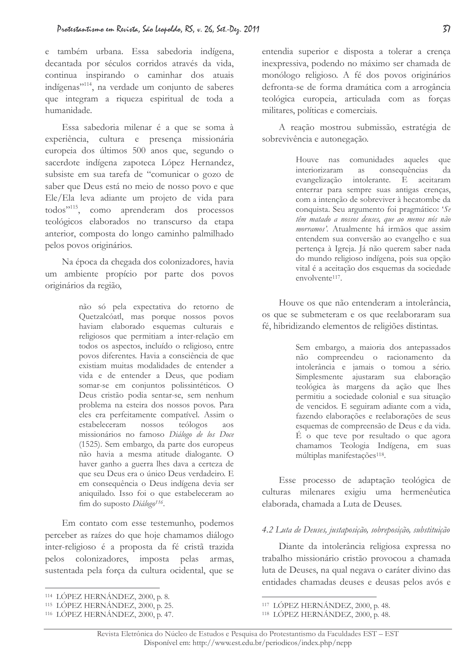e também urbana. Essa sabedoria indígena, decantada por séculos corridos através da vida, continua inspirando o caminhar dos atuais indígenas"<sup>114</sup>, na verdade um conjunto de saberes que integram a riqueza espiritual de toda a humanidade.

Essa sabedoria milenar é a que se soma à experiência, cultura e presença missionária europeia dos últimos 500 anos que, segundo o sacerdote indígena zapoteca López Hernandez, subsiste em sua tarefa de "comunicar o gozo de saber que Deus está no meio de nosso povo e que Ele/Ela leva adiante um projeto de vida para todos"<sup>115</sup>, como aprenderam dos processos teológicos elaborados no transcurso da etapa anterior, composta do longo caminho palmilhado pelos povos originários.

Na época da chegada dos colonizadores, havia um ambiente propício por parte dos povos originários da região,

> não só pela expectativa do retorno de Quetzalcóatl, mas porque nossos povos haviam elaborado esquemas culturais e religiosos que permitiam a inter-relação em todos os aspectos, incluído o religioso, entre povos diferentes. Havia a consciência de que existiam muitas modalidades de entender a vida e de entender a Deus, que podiam somar-se em conjuntos polissintéticos. O Deus cristão podia sentar-se, sem nenhum problema na esteira dos nossos povos. Para eles era perfeitamente compatível. Assim o estabeleceram nossos teólogos aos missionários no famoso Diálogo de los Doce (1525). Sem embargo, da parte dos europeus não havia a mesma atitude dialogante. O haver ganho a guerra lhes dava a certeza de que seu Deus era o único Deus verdadeiro. E em consequência o Deus indígena devia ser aniquilado. Isso foi o que estabeleceram ao fim do suposto Diálogo<sup>116</sup>.

Em contato com esse testemunho, podemos perceber as raízes do que hoje chamamos diálogo inter-religioso é a proposta da fé cristã trazida pelos os colonizadores, imposta pela: armas, sustentada pela força da cultura ocidental, que se

entendia superior e disposta a tolerar a crença inexpressiva, podendo no máximo ser chamada de monólogo religioso. A fé dos povos originários defronta-se de forma dramática com a arrogância teológica europeia, articulada com as forças militares, políticas e comerciais.

A reação mostrou submissão, estratégia de sobrevivência e autonegação.

> Houve nas comunidades aqueles que interiorizaram as consequências da evangelização intole: intolerante. E aceitaram enterrar para sempre suas antigas crenças, com a intenção de sobreviver à hecatombe da conquista. Seu argumento foi pragmático: 'Se têm matado a nossos deuses, que ao menos nós não morramos'. Atualmente há irmãos que assim entendem sua conversão ao evangelho e sua pertença à Igreja. Já não querem saber nada do mundo religioso indígena, pois sua opção vital é a aceitação dos esquemas da sociedade envolvente<sup>117</sup>.

Houve os que não entenderam a intolerância, os que se submeteram e os que reelaboraram sua fé, hibridizando elementos de religiões distintas.

> Sem embargo, a maioria dos antepassados não compreendeu o racionamento da intolerância e jamais o tomou a sério. Simplesmente ajustaram sua elaboração teológica às margens da ação que lhes permitiu a sociedade colonial e sua situação de vencidos. E seguiram adiante com a vida, fazendo elaborações e reelaborações de seus esquemas de compreensão de Deus e da vida.  $\rm \dot{E}$  o que teve por resultado o que agora chamamos Teologia Indígena, em suas múltiplas manifestações<sup>118</sup>.

Esse processo de adaptação teológica de culturas milenares exigiu uma hermenêutica elaborada, chamada a Luta de Deuses.

### 4.2 Luta de Deuses, justaposição, sobreposição, substituição

Diante da intolerância religiosa expressa no trabalho missionário cristão provocou a chamada luta de Deuses, na qual negava o caráter divino das entidades chamadas deuses e deusas pelos avós e

 $^{114}$  LOPEZ HERNÁNDEZ, 2000, p. 8.

<sup>&</sup>lt;sup>115</sup> LOPEZ HERNÁNDEZ, 2000, p. 25.

<sup>&</sup>lt;sup>116</sup> LOPEZ HERNÁNDEZ, 2000, p. 47.

 $117$  LOPEZ HERNÁNDEZ, 2000, p. 48.

 $118$  LOPEZ HERNÁNDEZ,  $2000$ , p. 48.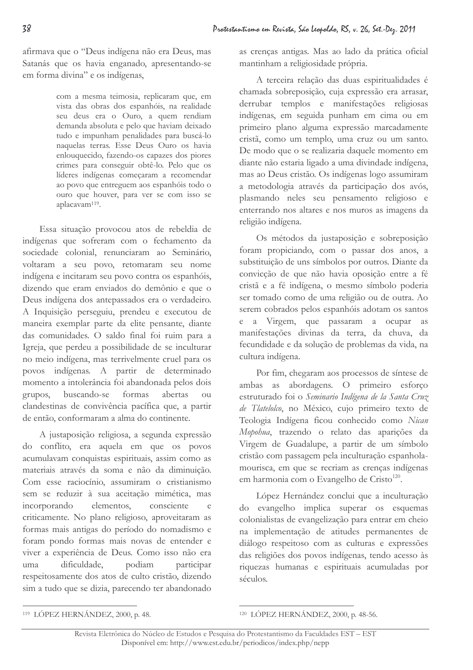afirmava que o "Deus indígena não era Deus, mas Satanás que os havia enganado, apresentando-se em forma divina" e os indígenas,

> com a mesma teimosia, replicaram que, em vista das obras dos espanhóis, na realidade seu deus era o Ouro, a quem rendiam demanda absoluta e pelo que haviam deixado tudo e impunham penalidades para buscá-lo naquelas terras. Esse Deus Ouro os havia enlouquecido, fazendo-os capazes dos piores crimes para conseguir obtê-lo. Pelo que os líderes indígenas começaram a recomendar ao povo que entreguem aos espanhóis todo o ouro que houver, para ver se com isso se aplacavam<sup>119</sup>.

Essa situação provocou atos de rebeldia de indígenas que sofreram com o fechamento da sociedade colonial, renunciaram ao Seminário, voltaram a seu povo, retomaram seu nome indígena e incitaram seu povo contra os espanhóis, dizendo que eram enviados do demônio e que o Deus indígena dos antepassados era o verdadeiro. A Inquisição perseguiu, prendeu e executou de maneira exemplar parte da elite pensante, diante das comunidades. O saldo final foi ruim para a Igreja, que perdeu a possibilidade de se inculturar no meio indígena, mas terrivelmente cruel para os povos indígenas. A partir de determinado momento a intolerância foi abandonada pelos dois buscando-se formas abertas grupos,  $_{\text{ou}}$ clandestinas de convivência pacífica que, a partir de então, conformaram a alma do continente.

A justaposição religiosa, a segunda expressão do conflito, era aquela em que os povos acumulavam conquistas espirituais, assim como as materiais através da soma e não da diminuição. Com esse raciocínio, assumiram o cristianismo sem se reduzir à sua aceitação mimética, mas incorporando elementos. consciente  $\alpha$ criticamente. No plano religioso, aproveitaram as formas mais antigas do período do nomadismo e foram pondo formas mais novas de entender e viver a experiência de Deus. Como isso não era uma dificuldade. podiam participar respeitosamente dos atos de culto cristão, dizendo sim a tudo que se dizia, parecendo ter abandonado as crenças antigas. Mas ao lado da prática oficial mantinham a religiosidade própria.

A terceira relação das duas espiritualidades é chamada sobreposição, cuja expressão era arrasar, derrubar templos e manifestações religiosas indígenas, em seguida punham em cima ou em primeiro plano alguma expressão marcadamente cristã, como um templo, uma cruz ou um santo. De modo que o se realizaria daquele momento em diante não estaria ligado a uma divindade indígena, mas ao Deus cristão. Os indígenas logo assumiram a metodologia através da participação dos avós, plasmando neles seu pensamento religioso e enterrando nos altares e nos muros as imagens da religião indígena.

Os métodos da justaposição e sobreposição foram propiciando, com o passar dos anos, a substituição de uns símbolos por outros. Diante da convicção de que não havia oposição entre a fé cristã e a fé indígena, o mesmo símbolo poderia ser tomado como de uma religião ou de outra. Ao serem cobrados pelos espanhóis adotam os santos e a Virgem, que passaram a ocupar as manifestações divinas da terra, da chuva, da fecundidade e da solução de problemas da vida, na cultura indígena.

Por fim, chegaram aos processos de síntese de ambas as abordagens. O primeiro esforço estruturado foi o Seminario Indígena de la Santa Cruz de Tlatelolco, no México, cujo primeiro texto de Teologia Indígena ficou conhecido como Nican Mopohua, trazendo o relato das aparições da Virgem de Guadalupe, a partir de um símbolo cristão com passagem pela inculturação espanholamourisca, em que se recriam as crenças indígenas em harmonia com o Evangelho de Cristo<sup>120</sup>.

López Hernández conclui que a inculturação do evangelho implica superar os esquemas colonialistas de evangelização para entrar em cheio na implementação de atitudes permanentes de diálogo respeitoso com as culturas e expressões das religiões dos povos indígenas, tendo acesso às riquezas humanas e espirituais acumuladas por séculos.

<sup>&</sup>lt;sup>119</sup> LÓPEZ HERNÁNDEZ, 2000, p. 48.

<sup>&</sup>lt;sup>120</sup> LÓPEZ HERNÁNDEZ, 2000, p. 48-56.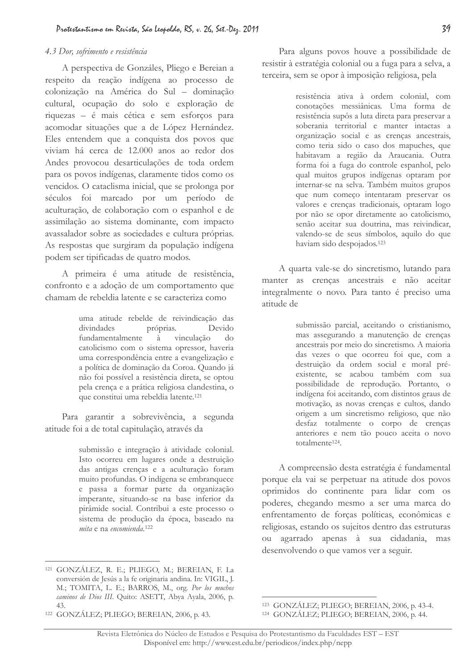### 4.3 Dor, sofrimento e resistência

A perspectiva de Gonzáles, Pliego e Bereian a respeito da reação indígena ao processo de colonização na América do Sul - dominação cultural, ocupação do solo e exploração de riquezas - é mais cética e sem esforços para acomodar situações que a de López Hernández. Eles entendem que a conquista dos povos que viviam há cerca de 12.000 anos ao redor dos Andes provocou desarticulações de toda ordem para os povos indígenas, claramente tidos como os vencidos. O cataclisma inicial, que se prolonga por séculos foi marcado por um período de aculturação, de colaboração com o espanhol e de assimilação ao sistema dominante, com impacto avassalador sobre as sociedades e cultura próprias. As respostas que surgiram da população indígena podem ser tipificadas de quatro modos.

A primeira é uma atitude de resistência, confronto e a adoção de um comportamento que chamam de rebeldia latente e se caracteriza como

> uma atitude rebelde de reivindicação das divindades próprias. Devido fundamentalmente mente à vinculação do catolicismo com o sistema opressor, haveria uma correspondência entre a evangelização e a política de dominação da Coroa. Quando já não foi possível a resistência direta, se optou pela crença e a prática religiosa clandestina, o que constitui uma rebeldia latente.<sup>121</sup>

Para garantir a sobrevivência, a segunda atitude foi a de total capitulação, através da

> submissão e integração à atividade colonial. Isto ocorreu em lugares onde a destruição das antigas crenças e a aculturação foram muito profundas. O indígena se embranquece e passa a formar parte da organização imperante, situando-se na base inferior da pirâmide social. Contribui a este processo o sistema de produção da época, baseado na mita e na encomienda.<sup>122</sup>

Para alguns povos houve a possibilidade de resistir à estratégia colonial ou a fuga para a selva, a terceira, sem se opor à imposição religiosa, pela

> resistência ativa à ordem colonial, com conotações messiânicas. Uma forma de resistência supôs a luta direta para preservar a soberania territorial e manter intactas a organização social e as crenças ancestrais, como teria sido o caso dos mapuches, que habitavam a região da Araucania. Outra forma foi a fuga do controle espanhol, pelo qual muitos grupos indígenas optaram por internar-se na selva. Também muitos grupos que num começo intentaram preservar os valores e crenças tradicionais, optaram logo por não se opor diretamente ao catolicismo, senão aceitar sua doutrina, mas reivindicar, valendo-se de seus símbolos, aquilo do que haviam sido despojados.<sup>123</sup>

A quarta vale-se do sincretismo, lutando para manter as crenças ancestrais e não aceitar integralmente o novo. Para tanto é preciso uma atitude de

> submissão parcial, aceitando o cristianismo, mas assegurando a manutenção de crenças ancestrais por meio do sincretismo. A maioria das vezes o que ocorreu foi que, com a destruição da ordem social e moral préexistente, se acabou também com sua possibilidade de reprodução. Portanto, o indígena foi aceitando, com distintos graus de motivação, as novas crenças e cultos, dando origem a um sincretismo religioso, que não desfaz totalmente o corpo de crenças anteriores e nem tão pouco aceita o novo totalmente<sup>124</sup>.

A compreensão desta estratégia é fundamental porque ela vai se perpetuar na atitude dos povos oprimidos do continente para lidar com os poderes, chegando mesmo a ser uma marca do enfrentamento de forças políticas, econômicas e religiosas, estando os sujeitos dentro das estruturas ou agarrado apenas à sua cidadania, mas desenvolvendo o que vamos ver a seguir.

<sup>&</sup>lt;sup>121</sup> GONZÁLEZ, R. E.; PLIEGO, M.; BEREIAN, F. La conversión de Jesús a la fe originaria andina. In: VIGIL, J. M.; TOMITA, L. E.; BARROS, M., org. Por los muchos caminos de Dios III. Quito: ASETT, Abya Ayala, 2006, p. 43.

<sup>&</sup>lt;sup>122</sup> GONZÁLEZ; PLIEGO; BEREIAN, 2006, p. 43.

<sup>123</sup> GONZÁLEZ; PLIEGO; BEREIAN, 2006, p. 43-4. <sup>124</sup> GONZÁLEZ; PLIEGO; BEREIAN, 2006, p. 44.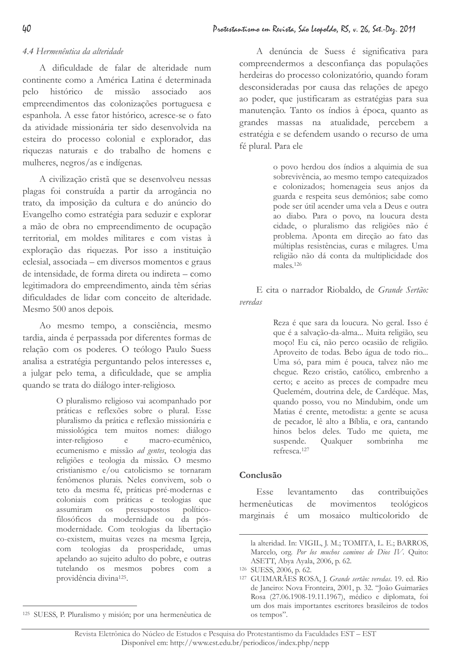### 4.4 Hermenêutica da alteridade

A dificuldade de falar de alteridade num continente como a América Latina é determinada histórico de missão associado pelo aos empreendimentos das colonizações portuguesa e espanhola. A esse fator histórico, acresce-se o fato da atividade missionária ter sido desenvolvida na esteira do processo colonial e explorador, das riquezas naturais e do trabalho de homens e mulheres, negros/as e indígenas.

A civilização cristã que se desenvolveu nessas plagas foi construída a partir da arrogância no trato, da imposição da cultura e do anúncio do Evangelho como estratégia para seduzir e explorar a mão de obra no empreendimento de ocupação territorial, em moldes militares e com vistas à exploração das riquezas. Por isso a instituição eclesial, associada – em diversos momentos e graus de intensidade, de forma direta ou indireta - como legitimadora do empreendimento, ainda têm sérias dificuldades de lidar com conceito de alteridade. Mesmo 500 anos depois.

Ao mesmo tempo, a consciência, mesmo tardia, ainda é perpassada por diferentes formas de relação com os poderes. O teólogo Paulo Suess analisa a estratégia perguntando pelos interesses e. a julgar pelo tema, a dificuldade, que se amplia quando se trata do diálogo inter-religioso.

> O pluralismo religioso vai acompanhado por práticas e reflexões sobre o plural. Esse pluralismo da prática e reflexão missionária e missiológica tem muitos nomes: diálogo inter-religioso  $e$ macro-ecumênico, ecumenismo e missão ad gentes, teologia das religiões e teologia da missão. O mesmo cristianismo e/ou catolicismo se tornaram fenômenos plurais. Neles convivem, sob o teto da mesma fé, práticas pré-modernas e coloniais com práticas e teologias que assumiram os pressupostos políticofilosóficos da modernidade ou da pósmodernidade. Com teologias da libertação co-existem, muitas vezes na mesma Igreja, com teologias da prosperidade, umas apelando ao sujeito adulto do pobre, e outras tutelando os mesmos pobres com a providência divina<sup>125</sup>.

o povo herdou dos índios a alquimia de sua sobrevivência, ao mesmo tempo catequizados e colonizados; homenageia seus anjos da guarda e respeita seus demônios; sabe como pode ser útil acender uma vela a Deus e outra ao diabo. Para o povo, na loucura desta cidade, o pluralismo das religiões não é problema. Aponta em direção ao fato das múltiplas resistências, curas e milagres. Uma religião não dá conta da multiplicidade dos males.<sup>126</sup>

E cita o narrador Riobaldo, de Grande Sertão: veredas

> Reza é que sara da loucura. No geral. Isso é que é a salvação-da-alma... Muita religião, seu moço! Eu cá, não perco ocasião de religião. Aproveito de todas. Bebo água de todo rio... Uma só, para mim é pouca, talvez não me chegue. Rezo cristão, católico, embrenho a certo; e aceito as preces de compadre meu Quelemém, doutrina dele, de Cardéque. Mas, quando posso, vou no Mindubim, onde um Matias é crente, metodista: a gente se acusa de pecador, lê alto a Bíblia, e ora, cantando hinos belos deles. Tudo me quieta, me suspende. Qualquer sombrinha me refresca.<sup>127</sup>

### Conclusão

contribuições Esse levantamento  $das$ hermenêuticas  $de$ movimentos teológicos marginais é um mosaico multicolorido de

A denúncia de Suess é significativa para compreendermos a desconfiança das populações herdeiras do processo colonizatório, quando foram desconsideradas por causa das relações de apego ao poder, que justificaram as estratégias para sua manutenção. Tanto os índios à época, quanto as grandes massas na atualidade, percebem a estratégia e se defendem usando o recurso de uma fé plural. Para ele

la alteridad. In: VIGIL, J. M.; TOMITA, L. E.; BARROS, Marcelo, org. Por los muchos caminos de Dios IV. Quito: ASETT, Abya Ayala, 2006, p. 62.

<sup>126</sup> SUESS, 2006, p. 62.

<sup>&</sup>lt;sup>127</sup> GUIMARÃES ROSA, J. Grande sertão: veredas. 19. ed. Rio de Janeiro: Nova Fronteira, 2001, p. 32. "João Guimarães Rosa (27.06.1908-19.11.1967), médico e diplomata, foi um dos mais importantes escritores brasileiros de todos os tempos".

<sup>&</sup>lt;sup>125</sup> SUESS, P. Pluralismo y misión; por una hermenêutica de

Revista Eletrônica do Núcleo de Estudos e Pesquisa do Protestantismo da Faculdades EST - EST Disponível em: http://www.est.edu.br/periodicos/index.php/nepp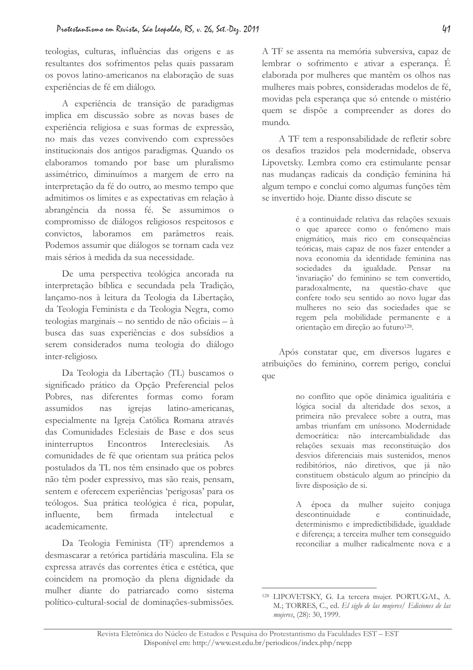teologias, culturas, influências das origens e as resultantes dos sofrimentos pelas quais passaram os povos latino-americanos na elaboração de suas experiências de fé em diálogo.

A experiência de transição de paradigmas implica em discussão sobre as novas bases de experiência religiosa e suas formas de expressão, no mais das vezes convivendo com expressões institucionais dos antigos paradigmas. Quando os elaboramos tomando por base um pluralismo assimétrico, diminuímos a margem de erro na interpretação da fé do outro, ao mesmo tempo que admitimos os limites e as expectativas em relação à abrangência da nossa fé. Se assumimos o compromisso de diálogos religiosos respeitosos e convictos, laboramos em parâmetros reais. Podemos assumir que diálogos se tornam cada vez mais sérios à medida da sua necessidade.

De uma perspectiva teológica ancorada na interpretação bíblica e secundada pela Tradição, lançamo-nos à leitura da Teologia da Libertação, da Teologia Feminista e da Teologia Negra, como teologias marginais – no sentido de não oficiais – à busca das suas experiências e dos subsídios a serem considerados numa teologia do diálogo inter-religioso.

Da Teologia da Libertação (TL) buscamos o significado prático da Opção Preferencial pelos Pobres, nas diferentes formas como foram assumidos nas igrejas latino-americanas, especialmente na Igreja Católica Romana através das Comunidades Eclesiais de Base e dos seus Encontros ininterruptos Intereclesiais.  $A \simeq$ comunidades de fé que orientam sua prática pelos postulados da TL nos têm ensinado que os pobres não têm poder expressivo, mas são reais, pensam, sentem e oferecem experiências 'perigosas' para os teólogos. Sua prática teológica é rica, popular, influente. bem firmada intelectual  $\epsilon$ academicamente.

Da Teologia Feminista (TF) aprendemos a desmascarar a retórica partidária masculina. Ela se expressa através das correntes ética e estética, que coincidem na promoção da plena dignidade da mulher diante do patriarcado como sistema político-cultural-social de dominações-submissões.

A TF se assenta na memória subversiva, capaz de lembrar o sofrimento e ativar a esperança. É elaborada por mulheres que mantêm os olhos nas mulheres mais pobres, consideradas modelos de fé, movidas pela esperança que só entende o mistério quem se dispõe a compreender as dores do mundo.

A TF tem a responsabilidade de refletir sobre os desafios trazidos pela modernidade, observa Lipovetsky. Lembra como era estimulante pensar nas mudanças radicais da condição feminina há algum tempo e conclui como algumas funções têm se invertido hoje. Diante disso discute se

> é a continuidade relativa das relações sexuais o que aparece como o fenômeno mais enigmático, mais rico em consequências teóricas, mais capaz de nos fazer entender a nova economia da identidade feminina nas sociedades da igualdade. Pensar na 'invariação' do feminino se tem convertido, paradoxalmente, na questão-chave que confere todo seu sentido ao novo lugar das mulheres no seio das sociedades que se regem pela mobilidade permanente e a orientação em direção ao futuro<sup>128</sup>.

Após constatar que, em diversos lugares e atribuições do feminino, correm perigo, conclui que

> no conflito que opõe dinâmica igualitária e lógica social da alteridade dos sexos, a primeira não prevalece sobre a outra, mas ambas triunfam em uníssono. Modernidade democrática: não intercambialidade das relações sexuais mas reconstituição dos desvios diferenciais mais sustenidos, menos redibitórios, não diretivos, que já não constituem obstáculo algum ao princípio da livre disposição de si.

> A época da mulher sujeito conjuga descontinuidade continuidade,  $\rm e$ determinismo e impredictibilidade, igualdade e diferença; a terceira mulher tem conseguido reconciliar a mulher radicalmente nova e a

<sup>&</sup>lt;sup>128</sup> LIPOVETSKY, G. La tercera mujer. PORTUGAL, A. M.; TORRES, C., ed. El siglo de las mujeres/ Ediciones de las mujeres, (28): 30, 1999.